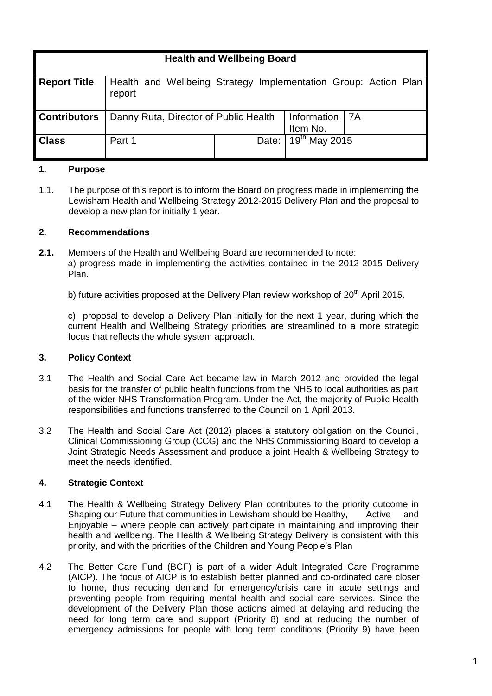|                     | <b>Health and Wellbeing Board</b>                                         |       |                                        |  |  |  |  |
|---------------------|---------------------------------------------------------------------------|-------|----------------------------------------|--|--|--|--|
| <b>Report Title</b> | Health and Wellbeing Strategy Implementation Group: Action Plan<br>report |       |                                        |  |  |  |  |
| <b>Contributors</b> | Danny Ruta, Director of Public Health                                     |       | Information   7A<br>Item No.           |  |  |  |  |
| <b>Class</b>        | Part 1                                                                    | Date: | $\overline{19}$ <sup>th</sup> May 2015 |  |  |  |  |

## **1. Purpose**

1.1. The purpose of this report is to inform the Board on progress made in implementing the Lewisham Health and Wellbeing Strategy 2012-2015 Delivery Plan and the proposal to develop a new plan for initially 1 year.

## **2. Recommendations**

- **2.1.** Members of the Health and Wellbeing Board are recommended to note: a) progress made in implementing the activities contained in the 2012-2015 Delivery Plan.
	- b) future activities proposed at the Delivery Plan review workshop of  $20<sup>th</sup>$  April 2015.

c) proposal to develop a Delivery Plan initially for the next 1 year, during which the current Health and Wellbeing Strategy priorities are streamlined to a more strategic focus that reflects the whole system approach.

#### **3. Policy Context**

- 3.1 The Health and Social Care Act became law in March 2012 and provided the legal basis for the transfer of public health functions from the NHS to local authorities as part of the wider NHS Transformation Program. Under the Act, the majority of Public Health responsibilities and functions transferred to the Council on 1 April 2013.
- 3.2 The Health and Social Care Act (2012) places a statutory obligation on the Council, Clinical Commissioning Group (CCG) and the NHS Commissioning Board to develop a Joint Strategic Needs Assessment and produce a joint Health & Wellbeing Strategy to meet the needs identified.

## **4. Strategic Context**

- 4.1 The Health & Wellbeing Strategy Delivery Plan contributes to the priority outcome in Shaping our Future that communities in Lewisham should be Healthy, Active and Enjoyable – where people can actively participate in maintaining and improving their health and wellbeing. The Health & Wellbeing Strategy Delivery is consistent with this priority, and with the priorities of the Children and Young People's Plan
- 4.2 The Better Care Fund (BCF) is part of a wider Adult Integrated Care Programme (AICP). The focus of AICP is to establish better planned and co-ordinated care closer to home, thus reducing demand for emergency/crisis care in acute settings and preventing people from requiring mental health and social care services. Since the development of the Delivery Plan those actions aimed at delaying and reducing the need for long term care and support (Priority 8) and at reducing the number of emergency admissions for people with long term conditions (Priority 9) have been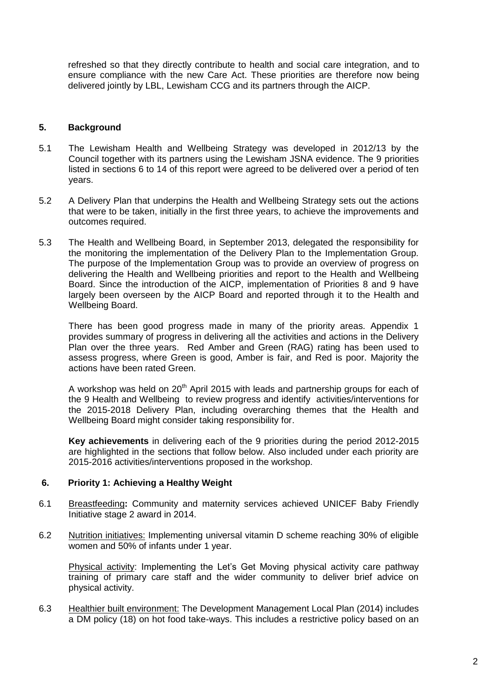refreshed so that they directly contribute to health and social care integration, and to ensure compliance with the new Care Act. These priorities are therefore now being delivered jointly by LBL, Lewisham CCG and its partners through the AICP.

#### **5. Background**

- 5.1 The Lewisham Health and Wellbeing Strategy was developed in 2012/13 by the Council together with its partners using the Lewisham JSNA evidence. The 9 priorities listed in sections 6 to 14 of this report were agreed to be delivered over a period of ten years.
- 5.2 A Delivery Plan that underpins the Health and Wellbeing Strategy sets out the actions that were to be taken, initially in the first three years, to achieve the improvements and outcomes required.
- 5.3 The Health and Wellbeing Board, in September 2013, delegated the responsibility for the monitoring the implementation of the Delivery Plan to the Implementation Group. The purpose of the Implementation Group was to provide an overview of progress on delivering the Health and Wellbeing priorities and report to the Health and Wellbeing Board. Since the introduction of the AICP, implementation of Priorities 8 and 9 have largely been overseen by the AICP Board and reported through it to the Health and Wellbeing Board.

There has been good progress made in many of the priority areas. Appendix 1 provides summary of progress in delivering all the activities and actions in the Delivery Plan over the three years. Red Amber and Green (RAG) rating has been used to assess progress, where Green is good, Amber is fair, and Red is poor. Majority the actions have been rated Green.

A workshop was held on  $20<sup>th</sup>$  April 2015 with leads and partnership groups for each of the 9 Health and Wellbeing to review progress and identify activities/interventions for the 2015-2018 Delivery Plan, including overarching themes that the Health and Wellbeing Board might consider taking responsibility for.

**Key achievements** in delivering each of the 9 priorities during the period 2012-2015 are highlighted in the sections that follow below. Also included under each priority are 2015-2016 activities/interventions proposed in the workshop.

## **6. Priority 1: Achieving a Healthy Weight**

- 6.1 Breastfeeding**:** Community and maternity services achieved UNICEF Baby Friendly Initiative stage 2 award in 2014.
- 6.2 Nutrition initiatives: Implementing universal vitamin D scheme reaching 30% of eligible women and 50% of infants under 1 year.

Physical activity: Implementing the Let's Get Moving physical activity care pathway training of primary care staff and the wider community to deliver brief advice on physical activity.

6.3 Healthier built environment: The Development Management Local Plan (2014) includes a DM policy (18) on hot food take-ways. This includes a restrictive policy based on an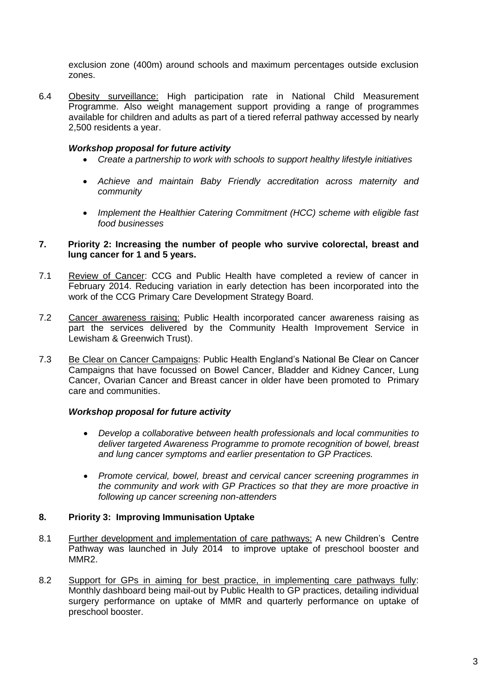exclusion zone (400m) around schools and maximum percentages outside exclusion zones.

6.4 Obesity surveillance: High participation rate in National Child Measurement Programme. Also weight management support providing a range of programmes available for children and adults as part of a tiered referral pathway accessed by nearly 2,500 residents a year.

## *Workshop proposal for future activity*

- *Create a partnership to work with schools to support healthy lifestyle initiatives*
- *Achieve and maintain Baby Friendly accreditation across maternity and community*
- *Implement the Healthier Catering Commitment (HCC) scheme with eligible fast food businesses*

#### **7. Priority 2: Increasing the number of people who survive colorectal, breast and lung cancer for 1 and 5 years.**

- 7.1 Review of Cancer: CCG and Public Health have completed a review of cancer in February 2014. Reducing variation in early detection has been incorporated into the work of the CCG Primary Care Development Strategy Board.
- 7.2 Cancer awareness raising: Public Health incorporated cancer awareness raising as part the services delivered by the Community Health Improvement Service in Lewisham & Greenwich Trust).
- 7.3 Be Clear on Cancer Campaigns: Public Health England's National Be Clear on Cancer Campaigns that have focussed on Bowel Cancer, Bladder and Kidney Cancer, Lung Cancer, Ovarian Cancer and Breast cancer in older have been promoted to Primary care and communities.

# *Workshop proposal for future activity*

- *Develop a collaborative between health professionals and local communities to deliver targeted Awareness Programme to promote recognition of bowel, breast and lung cancer symptoms and earlier presentation to GP Practices.*
- *Promote cervical, bowel, breast and cervical cancer screening programmes in the community and work with GP Practices so that they are more proactive in following up cancer screening non-attenders*

## **8. Priority 3: Improving Immunisation Uptake**

- 8.1 Further development and implementation of care pathways: A new Children's Centre Pathway was launched in July 2014 to improve uptake of preschool booster and MMR2.
- 8.2 Support for GPs in aiming for best practice, in implementing care pathways fully: Monthly dashboard being mail-out by Public Health to GP practices, detailing individual surgery performance on uptake of MMR and quarterly performance on uptake of preschool booster.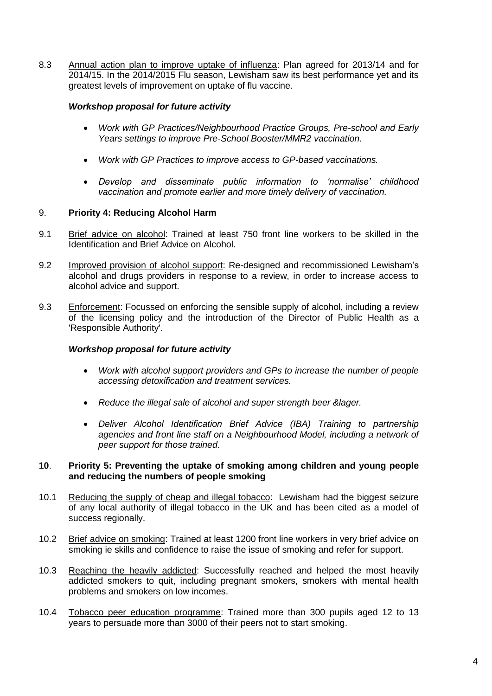8.3 Annual action plan to improve uptake of influenza: Plan agreed for 2013/14 and for 2014/15. In the 2014/2015 Flu season, Lewisham saw its best performance yet and its greatest levels of improvement on uptake of flu vaccine.

## *Workshop proposal for future activity*

- *Work with GP Practices/Neighbourhood Practice Groups, Pre-school and Early Years settings to improve Pre-School Booster/MMR2 vaccination.*
- *Work with GP Practices to improve access to GP-based vaccinations.*
- *Develop and disseminate public information to 'normalise' childhood vaccination and promote earlier and more timely delivery of vaccination.*

# 9. **Priority 4: Reducing Alcohol Harm**

- 9.1 Brief advice on alcohol: Trained at least 750 front line workers to be skilled in the Identification and Brief Advice on Alcohol.
- 9.2 Improved provision of alcohol support: Re-designed and recommissioned Lewisham's alcohol and drugs providers in response to a review, in order to increase access to alcohol advice and support.
- 9.3 Enforcement: Focussed on enforcing the sensible supply of alcohol, including a review of the licensing policy and the introduction of the Director of Public Health as a 'Responsible Authority'.

# *Workshop proposal for future activity*

- *Work with alcohol support providers and GPs to increase the number of people accessing detoxification and treatment services.*
- *Reduce the illegal sale of alcohol and super strength beer &lager.*
- *Deliver Alcohol Identification Brief Advice (IBA) Training to partnership agencies and front line staff on a Neighbourhood Model, including a network of peer support for those trained.*

## **10**. **Priority 5: Preventing the uptake of smoking among children and young people and reducing the numbers of people smoking**

- 10.1 Reducing the supply of cheap and illegal tobacco: Lewisham had the biggest seizure of any local authority of illegal tobacco in the UK and has been cited as a model of success regionally.
- 10.2 Brief advice on smoking: Trained at least 1200 front line workers in very brief advice on smoking ie skills and confidence to raise the issue of smoking and refer for support.
- 10.3 Reaching the heavily addicted: Successfully reached and helped the most heavily addicted smokers to quit, including pregnant smokers, smokers with mental health problems and smokers on low incomes.
- 10.4 Tobacco peer education programme: Trained more than 300 pupils aged 12 to 13 years to persuade more than 3000 of their peers not to start smoking.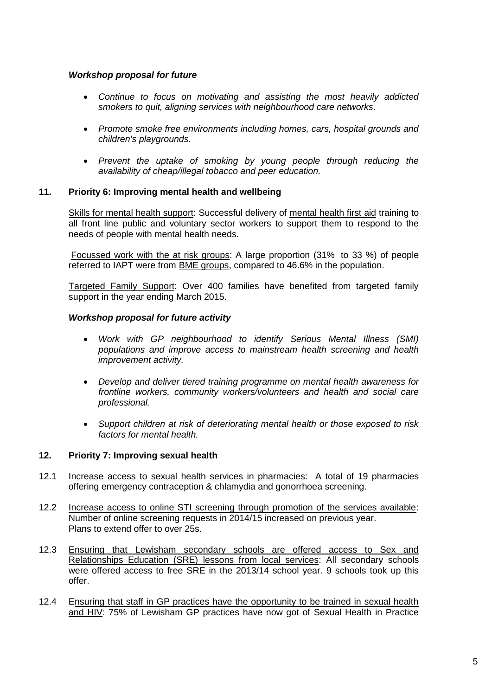## *Workshop proposal for future*

- *Continue to focus on motivating and assisting the most heavily addicted smokers to quit, aligning services with neighbourhood care networks.*
- *Promote smoke free environments including homes, cars, hospital grounds and children's playgrounds.*
- Prevent the uptake of smoking by young people through reducing the *availability of cheap/illegal tobacco and peer education.*

## **11. Priority 6: Improving mental health and wellbeing**

Skills for mental health support: Successful delivery of mental health first aid training to all front line public and voluntary sector workers to support them to respond to the needs of people with mental health needs.

Focussed work with the at risk groups: A large proportion (31% to 33 %) of people referred to IAPT were from BME groups, compared to 46.6% in the population.

Targeted Family Support: Over 400 families have benefited from targeted family support in the year ending March 2015.

#### *Workshop proposal for future activity*

- *Work with GP neighbourhood to identify Serious Mental Illness (SMI) populations and improve access to mainstream health screening and health improvement activity.*
- *Develop and deliver tiered training programme on mental health awareness for frontline workers, community workers/volunteers and health and social care professional.*
- *Support children at risk of deteriorating mental health or those exposed to risk factors for mental health.*

#### **12. Priority 7: Improving sexual health**

- 12.1 Increase access to sexual health services in pharmacies: A total of 19 pharmacies offering emergency contraception & chlamydia and gonorrhoea screening.
- 12.2 Increase access to online STI screening through promotion of the services available: Number of online screening requests in 2014/15 increased on previous year. Plans to extend offer to over 25s.
- 12.3 Ensuring that Lewisham secondary schools are offered access to Sex and Relationships Education (SRE) lessons from local services: All secondary schools were offered access to free SRE in the 2013/14 school year. 9 schools took up this offer.
- 12.4 Ensuring that staff in GP practices have the opportunity to be trained in sexual health and HIV: 75% of Lewisham GP practices have now got of Sexual Health in Practice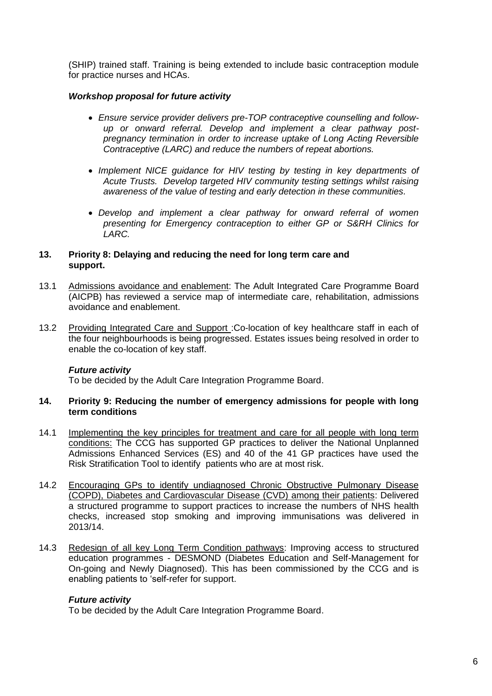(SHIP) trained staff. Training is being extended to include basic contraception module for practice nurses and HCAs.

## *Workshop proposal for future activity*

- *Ensure service provider delivers pre-TOP contraceptive counselling and followup or onward referral. Develop and implement a clear pathway postpregnancy termination in order to increase uptake of Long Acting Reversible Contraceptive (LARC) and reduce the numbers of repeat abortions.*
- Implement NICE guidance for HIV testing by testing in key departments of *Acute Trusts. Develop targeted HIV community testing settings whilst raising awareness of the value of testing and early detection in these communities.*
- *Develop and implement a clear pathway for onward referral of women presenting for Emergency contraception to either GP or S&RH Clinics for LARC.*

## **13. Priority 8: Delaying and reducing the need for long term care and support.**

- 13.1 Admissions avoidance and enablement: The Adult Integrated Care Programme Board (AICPB) has reviewed a service map of intermediate care, rehabilitation, admissions avoidance and enablement.
- 13.2 Providing Integrated Care and Support : Co-location of key healthcare staff in each of the four neighbourhoods is being progressed. Estates issues being resolved in order to enable the co-location of key staff.

## *Future activity*

To be decided by the Adult Care Integration Programme Board.

#### **14. Priority 9: Reducing the number of emergency admissions for people with long term conditions**

- 14.1 Implementing the key principles for treatment and care for all people with long term conditions: The CCG has supported GP practices to deliver the National Unplanned Admissions Enhanced Services (ES) and 40 of the 41 GP practices have used the Risk Stratification Tool to identify patients who are at most risk.
- 14.2 Encouraging GPs to identify undiagnosed Chronic Obstructive Pulmonary Disease (COPD), Diabetes and Cardiovascular Disease (CVD) among their patients: Delivered a structured programme to support practices to increase the numbers of NHS health checks, increased stop smoking and improving immunisations was delivered in 2013/14.
- 14.3 Redesign of all key Long Term Condition pathways: Improving access to structured education programmes - DESMOND (Diabetes Education and Self-Management for On-going and Newly Diagnosed). This has been commissioned by the CCG and is enabling patients to 'self-refer for support.

## *Future activity*

To be decided by the Adult Care Integration Programme Board.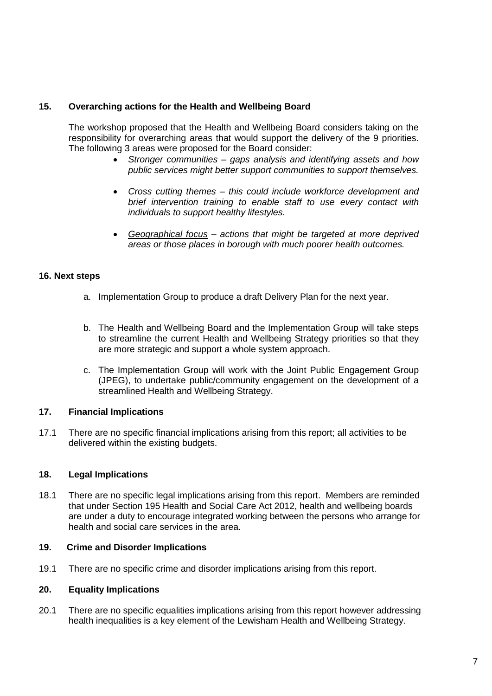# **15. Overarching actions for the Health and Wellbeing Board**

The workshop proposed that the Health and Wellbeing Board considers taking on the responsibility for overarching areas that would support the delivery of the 9 priorities. The following 3 areas were proposed for the Board consider:

- *Stronger communities – gaps analysis and identifying assets and how public services might better support communities to support themselves.*
- *Cross cutting themes – this could include workforce development and brief intervention training to enable staff to use every contact with individuals to support healthy lifestyles.*
- *Geographical focus – actions that might be targeted at more deprived areas or those places in borough with much poorer health outcomes.*

## **16. Next steps**

- a. Implementation Group to produce a draft Delivery Plan for the next year.
- b. The Health and Wellbeing Board and the Implementation Group will take steps to streamline the current Health and Wellbeing Strategy priorities so that they are more strategic and support a whole system approach.
- c. The Implementation Group will work with the Joint Public Engagement Group (JPEG), to undertake public/community engagement on the development of a streamlined Health and Wellbeing Strategy.

## **17. Financial Implications**

17.1 There are no specific financial implications arising from this report; all activities to be delivered within the existing budgets.

## **18. Legal Implications**

18.1 There are no specific legal implications arising from this report. Members are reminded that under Section 195 Health and Social Care Act 2012, health and wellbeing boards are under a duty to encourage integrated working between the persons who arrange for health and social care services in the area.

## **19. Crime and Disorder Implications**

19.1 There are no specific crime and disorder implications arising from this report.

#### **20. Equality Implications**

20.1 There are no specific equalities implications arising from this report however addressing health inequalities is a key element of the Lewisham Health and Wellbeing Strategy.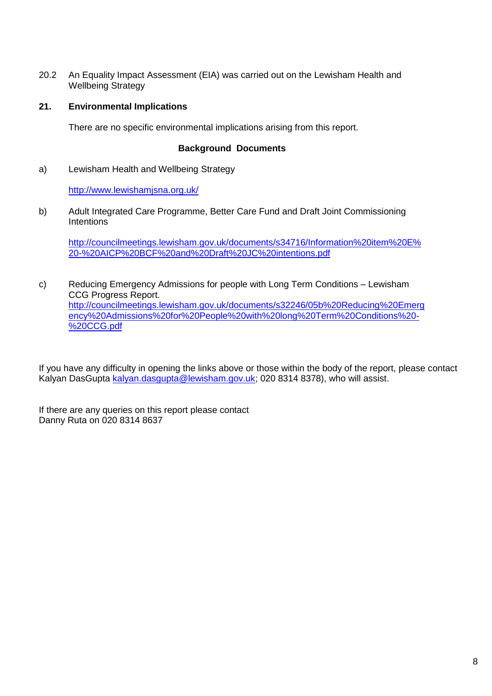20.2 An Equality Impact Assessment (EIA) was carried out on the Lewisham Health and Wellbeing Strategy

## **21. Environmental Implications**

There are no specific environmental implications arising from this report.

## **Background Documents**

a) Lewisham Health and Wellbeing Strategy

<http://www.lewishamjsna.org.uk/>

b) Adult Integrated Care Programme, Better Care Fund and Draft Joint Commissioning **Intentions** 

[http://councilmeetings.lewisham.gov.uk/documents/s34716/Information%20item%20E%](http://councilmeetings.lewisham.gov.uk/documents/s34716/Information%20item%20E%20-%20AICP%20BCF%20and%20Draft%20JC%20intentions.pdf) [20-%20AICP%20BCF%20and%20Draft%20JC%20intentions.pdf](http://councilmeetings.lewisham.gov.uk/documents/s34716/Information%20item%20E%20-%20AICP%20BCF%20and%20Draft%20JC%20intentions.pdf)

c) Reducing Emergency Admissions for people with Long Term Conditions – Lewisham CCG Progress Report. [http://councilmeetings.lewisham.gov.uk/documents/s32246/05b%20Reducing%20Emerg](http://councilmeetings.lewisham.gov.uk/documents/s32246/05b%20Reducing%20Emergency%20Admissions%20for%20People%20with%20long%20Term%20Conditions%20-%20CCG.pdf) [ency%20Admissions%20for%20People%20with%20long%20Term%20Conditions%20-](http://councilmeetings.lewisham.gov.uk/documents/s32246/05b%20Reducing%20Emergency%20Admissions%20for%20People%20with%20long%20Term%20Conditions%20-%20CCG.pdf) [%20CCG.pdf](http://councilmeetings.lewisham.gov.uk/documents/s32246/05b%20Reducing%20Emergency%20Admissions%20for%20People%20with%20long%20Term%20Conditions%20-%20CCG.pdf)

If you have any difficulty in opening the links above or those within the body of the report, please contact Kalyan DasGupta [kalyan.dasgupta@lewisham.gov.uk;](mailto:kalyan.dasgupta@lewisham.gov.uk) 020 8314 8378), who will assist.

If there are any queries on this report please contact Danny Ruta on 020 8314 8637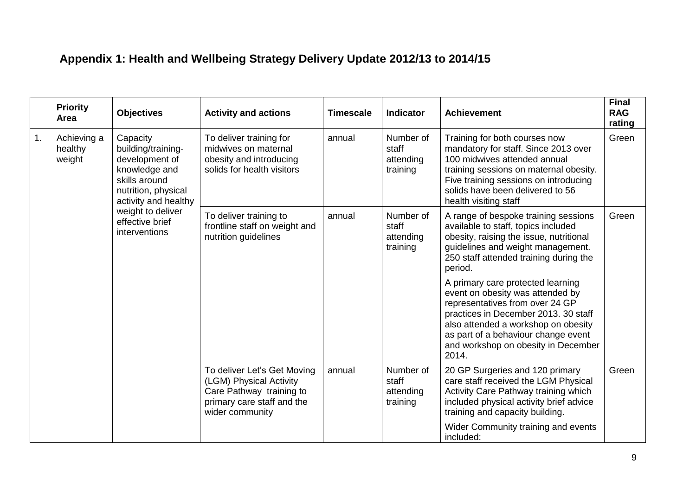# **Appendix 1: Health and Wellbeing Strategy Delivery Update 2012/13 to 2014/15**

|                                        | <b>Priority</b><br>Area                                                                                                           | <b>Objectives</b>                                                                                                                   | <b>Activity and actions</b>                                                     | <b>Timescale</b>                            | <b>Indicator</b>                                                                                                                                                                                                                                                               | <b>Achievement</b>                                                                                                                                                                                               | <b>Final</b><br><b>RAG</b><br>rating |
|----------------------------------------|-----------------------------------------------------------------------------------------------------------------------------------|-------------------------------------------------------------------------------------------------------------------------------------|---------------------------------------------------------------------------------|---------------------------------------------|--------------------------------------------------------------------------------------------------------------------------------------------------------------------------------------------------------------------------------------------------------------------------------|------------------------------------------------------------------------------------------------------------------------------------------------------------------------------------------------------------------|--------------------------------------|
| Achieving a<br>1.<br>healthy<br>weight | Capacity<br>building/training-<br>development of<br>knowledge and<br>skills around<br>nutrition, physical<br>activity and healthy | To deliver training for<br>midwives on maternal<br>obesity and introducing<br>solids for health visitors                            | annual                                                                          | Number of<br>staff<br>attending<br>training | Training for both courses now<br>mandatory for staff. Since 2013 over<br>100 midwives attended annual<br>training sessions on maternal obesity.<br>Five training sessions on introducing<br>solids have been delivered to 56<br>health visiting staff                          | Green                                                                                                                                                                                                            |                                      |
|                                        |                                                                                                                                   | weight to deliver<br>effective brief<br>interventions                                                                               | To deliver training to<br>frontline staff on weight and<br>nutrition guidelines | annual                                      | Number of<br>staff<br>attending<br>training                                                                                                                                                                                                                                    | A range of bespoke training sessions<br>available to staff, topics included<br>obesity, raising the issue, nutritional<br>guidelines and weight management.<br>250 staff attended training during the<br>period. | Green                                |
|                                        |                                                                                                                                   |                                                                                                                                     |                                                                                 |                                             | A primary care protected learning<br>event on obesity was attended by<br>representatives from over 24 GP<br>practices in December 2013. 30 staff<br>also attended a workshop on obesity<br>as part of a behaviour change event<br>and workshop on obesity in December<br>2014. |                                                                                                                                                                                                                  |                                      |
|                                        |                                                                                                                                   | To deliver Let's Get Moving<br>(LGM) Physical Activity<br>Care Pathway training to<br>primary care staff and the<br>wider community | annual                                                                          | Number of<br>staff<br>attending<br>training | 20 GP Surgeries and 120 primary<br>care staff received the LGM Physical<br>Activity Care Pathway training which<br>included physical activity brief advice<br>training and capacity building.<br>Wider Community training and events<br>included:                              | Green                                                                                                                                                                                                            |                                      |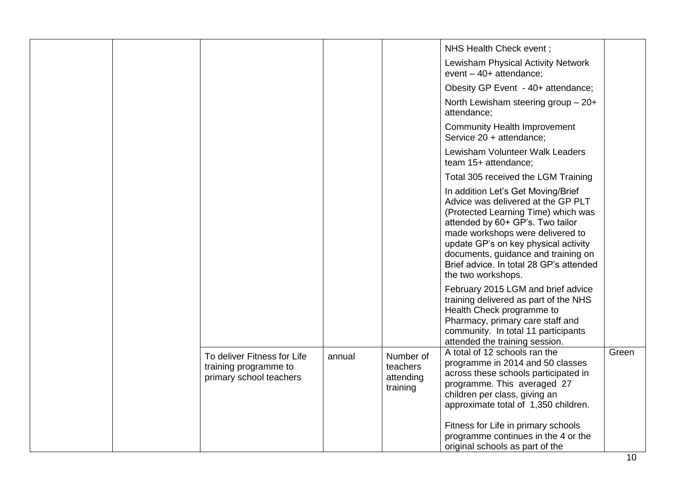|  |                                                                                 |        |                                                | NHS Health Check event;                                                                                                                                                                                                                                                                                                                 |       |
|--|---------------------------------------------------------------------------------|--------|------------------------------------------------|-----------------------------------------------------------------------------------------------------------------------------------------------------------------------------------------------------------------------------------------------------------------------------------------------------------------------------------------|-------|
|  |                                                                                 |        |                                                | Lewisham Physical Activity Network<br>event $-40+$ attendance;                                                                                                                                                                                                                                                                          |       |
|  |                                                                                 |        |                                                | Obesity GP Event - 40+ attendance;                                                                                                                                                                                                                                                                                                      |       |
|  |                                                                                 |        |                                                | North Lewisham steering group - 20+<br>attendance;                                                                                                                                                                                                                                                                                      |       |
|  |                                                                                 |        |                                                | <b>Community Health Improvement</b><br>Service 20 + attendance;                                                                                                                                                                                                                                                                         |       |
|  |                                                                                 |        |                                                | Lewisham Volunteer Walk Leaders<br>team 15+ attendance;                                                                                                                                                                                                                                                                                 |       |
|  |                                                                                 |        |                                                | Total 305 received the LGM Training                                                                                                                                                                                                                                                                                                     |       |
|  |                                                                                 |        |                                                | In addition Let's Get Moving/Brief<br>Advice was delivered at the GP PLT<br>(Protected Learning Time) which was<br>attended by 60+ GP's. Two tailor<br>made workshops were delivered to<br>update GP's on key physical activity<br>documents, guidance and training on<br>Brief advice. In total 28 GP's attended<br>the two workshops. |       |
|  |                                                                                 |        |                                                | February 2015 LGM and brief advice<br>training delivered as part of the NHS<br>Health Check programme to<br>Pharmacy, primary care staff and<br>community. In total 11 participants<br>attended the training session.                                                                                                                   |       |
|  | To deliver Fitness for Life<br>training programme to<br>primary school teachers | annual | Number of<br>teachers<br>attending<br>training | A total of 12 schools ran the<br>programme in 2014 and 50 classes<br>across these schools participated in<br>programme. This averaged 27<br>children per class, giving an<br>approximate total of 1,350 children.                                                                                                                       | Green |
|  |                                                                                 |        |                                                | Fitness for Life in primary schools<br>programme continues in the 4 or the<br>original schools as part of the                                                                                                                                                                                                                           |       |

L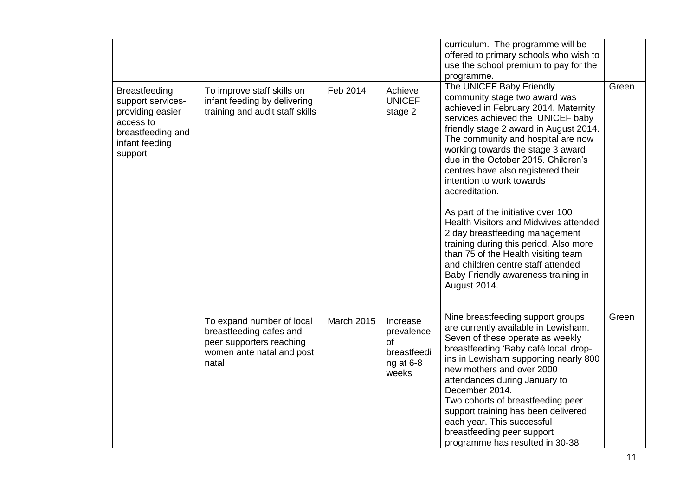|                                                                                                                              |                                                                                                                        |                   |                                                                   | curriculum. The programme will be<br>offered to primary schools who wish to<br>use the school premium to pay for the                                                                                                                                                                                                                                                                                                                                       |       |
|------------------------------------------------------------------------------------------------------------------------------|------------------------------------------------------------------------------------------------------------------------|-------------------|-------------------------------------------------------------------|------------------------------------------------------------------------------------------------------------------------------------------------------------------------------------------------------------------------------------------------------------------------------------------------------------------------------------------------------------------------------------------------------------------------------------------------------------|-------|
|                                                                                                                              |                                                                                                                        |                   |                                                                   | programme.                                                                                                                                                                                                                                                                                                                                                                                                                                                 |       |
| <b>Breastfeeding</b><br>support services-<br>providing easier<br>access to<br>breastfeeding and<br>infant feeding<br>support | To improve staff skills on<br>infant feeding by delivering<br>training and audit staff skills                          | Feb 2014          | Achieve<br><b>UNICEF</b><br>stage 2                               | The UNICEF Baby Friendly<br>community stage two award was<br>achieved in February 2014. Maternity<br>services achieved the UNICEF baby<br>friendly stage 2 award in August 2014.<br>The community and hospital are now<br>working towards the stage 3 award<br>due in the October 2015. Children's<br>centres have also registered their<br>intention to work towards<br>accreditation.                                                                    | Green |
|                                                                                                                              |                                                                                                                        |                   |                                                                   | As part of the initiative over 100<br>Health Visitors and Midwives attended<br>2 day breastfeeding management<br>training during this period. Also more<br>than 75 of the Health visiting team<br>and children centre staff attended<br>Baby Friendly awareness training in<br>August 2014.                                                                                                                                                                |       |
|                                                                                                                              | To expand number of local<br>breastfeeding cafes and<br>peer supporters reaching<br>women ante natal and post<br>natal | <b>March 2015</b> | Increase<br>prevalence<br>of<br>breastfeedi<br>ng at 6-8<br>weeks | Nine breastfeeding support groups<br>are currently available in Lewisham.<br>Seven of these operate as weekly<br>breastfeeding 'Baby café local' drop-<br>ins in Lewisham supporting nearly 800<br>new mothers and over 2000<br>attendances during January to<br>December 2014.<br>Two cohorts of breastfeeding peer<br>support training has been delivered<br>each year. This successful<br>breastfeeding peer support<br>programme has resulted in 30-38 | Green |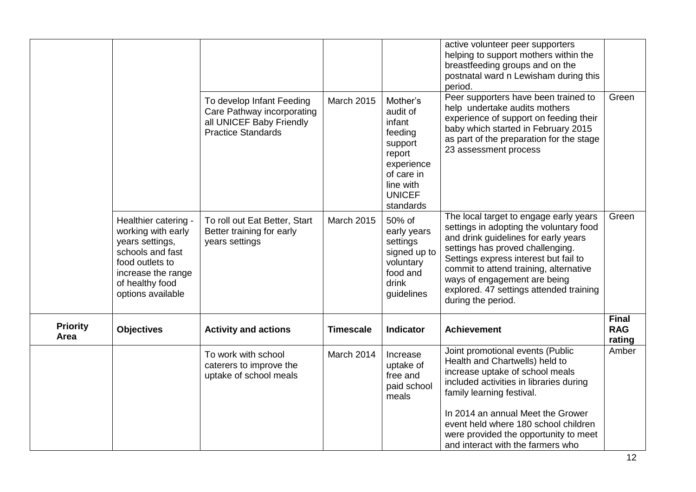|                         |                                                                                                                                                                    |                                                                                                                  |                   |                                                                                                                                       | active volunteer peer supporters<br>helping to support mothers within the<br>breastfeeding groups and on the<br>postnatal ward n Lewisham during this<br>period.                                                                                                                                                                                  |                                      |
|-------------------------|--------------------------------------------------------------------------------------------------------------------------------------------------------------------|------------------------------------------------------------------------------------------------------------------|-------------------|---------------------------------------------------------------------------------------------------------------------------------------|---------------------------------------------------------------------------------------------------------------------------------------------------------------------------------------------------------------------------------------------------------------------------------------------------------------------------------------------------|--------------------------------------|
|                         |                                                                                                                                                                    | To develop Infant Feeding<br>Care Pathway incorporating<br>all UNICEF Baby Friendly<br><b>Practice Standards</b> | <b>March 2015</b> | Mother's<br>audit of<br>infant<br>feeding<br>support<br>report<br>experience<br>of care in<br>line with<br><b>UNICEF</b><br>standards | Peer supporters have been trained to<br>help undertake audits mothers<br>experience of support on feeding their<br>baby which started in February 2015<br>as part of the preparation for the stage<br>23 assessment process                                                                                                                       | Green                                |
|                         | Healthier catering -<br>working with early<br>years settings,<br>schools and fast<br>food outlets to<br>increase the range<br>of healthy food<br>options available | To roll out Eat Better, Start<br>Better training for early<br>years settings                                     | <b>March 2015</b> | 50% of<br>early years<br>settings<br>signed up to<br>voluntary<br>food and<br>drink<br>guidelines                                     | The local target to engage early years<br>settings in adopting the voluntary food<br>and drink guidelines for early years<br>settings has proved challenging.<br>Settings express interest but fail to<br>commit to attend training, alternative<br>ways of engagement are being<br>explored. 47 settings attended training<br>during the period. | Green                                |
| <b>Priority</b><br>Area | <b>Objectives</b>                                                                                                                                                  | <b>Activity and actions</b>                                                                                      | <b>Timescale</b>  | <b>Indicator</b>                                                                                                                      | <b>Achievement</b>                                                                                                                                                                                                                                                                                                                                | <b>Final</b><br><b>RAG</b><br>rating |
|                         |                                                                                                                                                                    | To work with school<br>caterers to improve the<br>uptake of school meals                                         | March 2014        | Increase<br>uptake of<br>free and<br>paid school<br>meals                                                                             | Joint promotional events (Public<br>Health and Chartwells) held to<br>increase uptake of school meals<br>included activities in libraries during<br>family learning festival.                                                                                                                                                                     | Amber                                |
|                         |                                                                                                                                                                    |                                                                                                                  |                   |                                                                                                                                       | In 2014 an annual Meet the Grower<br>event held where 180 school children<br>were provided the opportunity to meet<br>and interact with the farmers who                                                                                                                                                                                           |                                      |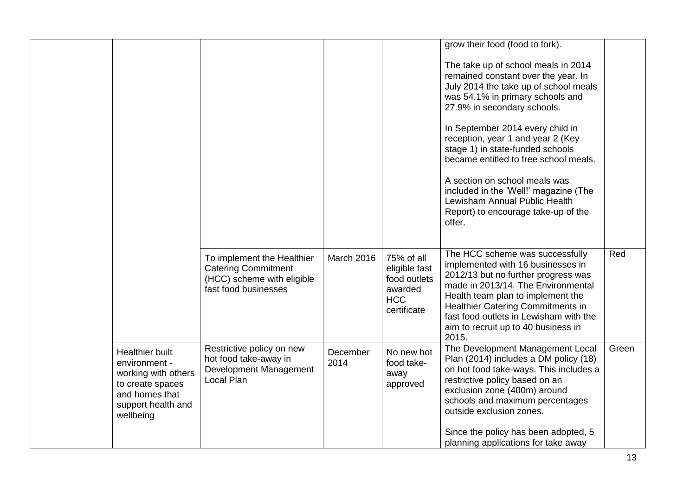|                                                                                                                                  |                                                                                                                |                  |                                                                                     | grow their food (food to fork).<br>The take up of school meals in 2014<br>remained constant over the year. In                                                                                                                                                                                                                       |       |
|----------------------------------------------------------------------------------------------------------------------------------|----------------------------------------------------------------------------------------------------------------|------------------|-------------------------------------------------------------------------------------|-------------------------------------------------------------------------------------------------------------------------------------------------------------------------------------------------------------------------------------------------------------------------------------------------------------------------------------|-------|
|                                                                                                                                  |                                                                                                                |                  |                                                                                     | July 2014 the take up of school meals<br>was 54.1% in primary schools and<br>27.9% in secondary schools.                                                                                                                                                                                                                            |       |
|                                                                                                                                  |                                                                                                                |                  |                                                                                     | In September 2014 every child in<br>reception, year 1 and year 2 (Key<br>stage 1) in state-funded schools<br>became entitled to free school meals.                                                                                                                                                                                  |       |
|                                                                                                                                  |                                                                                                                |                  |                                                                                     | A section on school meals was<br>included in the 'Well!' magazine (The<br>Lewisham Annual Public Health<br>Report) to encourage take-up of the<br>offer.                                                                                                                                                                            |       |
|                                                                                                                                  | To implement the Healthier<br><b>Catering Commitment</b><br>(HCC) scheme with eligible<br>fast food businesses | March 2016       | 75% of all<br>eligible fast<br>food outlets<br>awarded<br><b>HCC</b><br>certificate | The HCC scheme was successfully<br>implemented with 16 businesses in<br>2012/13 but no further progress was<br>made in 2013/14. The Environmental<br>Health team plan to implement the<br>Healthier Catering Commitments in<br>fast food outlets in Lewisham with the<br>aim to recruit up to 40 business in<br>2015.               | Red   |
| Healthier built<br>environment -<br>working with others<br>to create spaces<br>and homes that<br>support health and<br>wellbeing | Restrictive policy on new<br>hot food take-away in<br>Development Management<br>Local Plan                     | December<br>2014 | No new hot<br>food take-<br>away<br>approved                                        | The Development Management Local<br>Plan (2014) includes a DM policy (18)<br>on hot food take-ways. This includes a<br>restrictive policy based on an<br>exclusion zone (400m) around<br>schools and maximum percentages<br>outside exclusion zones.<br>Since the policy has been adopted, 5<br>planning applications for take away | Green |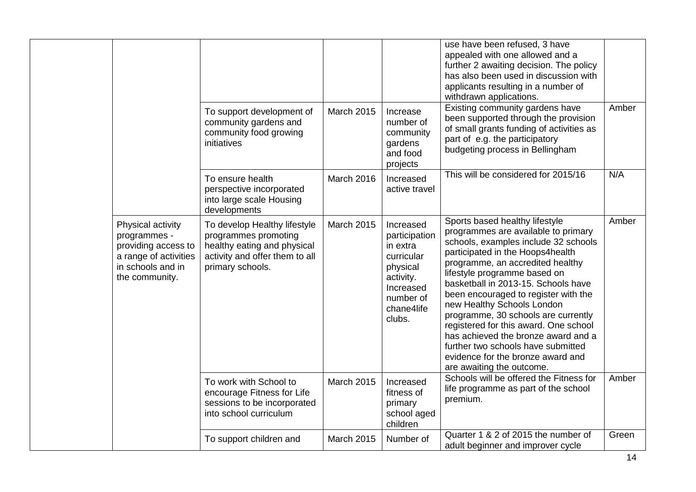|                                                                                                                          |                                                                                                                                           |                   |                                                                                                                                 | use have been refused, 3 have<br>appealed with one allowed and a<br>further 2 awaiting decision. The policy<br>has also been used in discussion with<br>applicants resulting in a number of<br>withdrawn applications.                                                                                                                                                                                                                                                                                                                                            |       |
|--------------------------------------------------------------------------------------------------------------------------|-------------------------------------------------------------------------------------------------------------------------------------------|-------------------|---------------------------------------------------------------------------------------------------------------------------------|-------------------------------------------------------------------------------------------------------------------------------------------------------------------------------------------------------------------------------------------------------------------------------------------------------------------------------------------------------------------------------------------------------------------------------------------------------------------------------------------------------------------------------------------------------------------|-------|
|                                                                                                                          | To support development of<br>community gardens and<br>community food growing<br>initiatives                                               | March 2015        | Increase<br>number of<br>community<br>gardens<br>and food<br>projects                                                           | Existing community gardens have<br>been supported through the provision<br>of small grants funding of activities as<br>part of e.g. the participatory<br>budgeting process in Bellingham                                                                                                                                                                                                                                                                                                                                                                          | Amber |
|                                                                                                                          | To ensure health<br>perspective incorporated<br>into large scale Housing<br>developments                                                  | March 2016        | Increased<br>active travel                                                                                                      | This will be considered for 2015/16                                                                                                                                                                                                                                                                                                                                                                                                                                                                                                                               | N/A   |
| Physical activity<br>programmes -<br>providing access to<br>a range of activities<br>in schools and in<br>the community. | To develop Healthy lifestyle<br>programmes promoting<br>healthy eating and physical<br>activity and offer them to all<br>primary schools. | <b>March 2015</b> | Increased<br>participation<br>in extra<br>curricular<br>physical<br>activity.<br>Increased<br>number of<br>chane4life<br>clubs. | Sports based healthy lifestyle<br>programmes are available to primary<br>schools, examples include 32 schools<br>participated in the Hoops4health<br>programme, an accredited healthy<br>lifestyle programme based on<br>basketball in 2013-15. Schools have<br>been encouraged to register with the<br>new Healthy Schools London<br>programme, 30 schools are currently<br>registered for this award. One school<br>has achieved the bronze award and a<br>further two schools have submitted<br>evidence for the bronze award and<br>are awaiting the outcome. | Amber |
|                                                                                                                          | To work with School to<br>encourage Fitness for Life<br>sessions to be incorporated<br>into school curriculum                             | March 2015        | Increased<br>fitness of<br>primary<br>school aged<br>children                                                                   | Schools will be offered the Fitness for<br>life programme as part of the school<br>premium.                                                                                                                                                                                                                                                                                                                                                                                                                                                                       | Amber |
|                                                                                                                          | To support children and                                                                                                                   | <b>March 2015</b> | Number of                                                                                                                       | Quarter 1 & 2 of 2015 the number of<br>adult beginner and improver cycle                                                                                                                                                                                                                                                                                                                                                                                                                                                                                          | Green |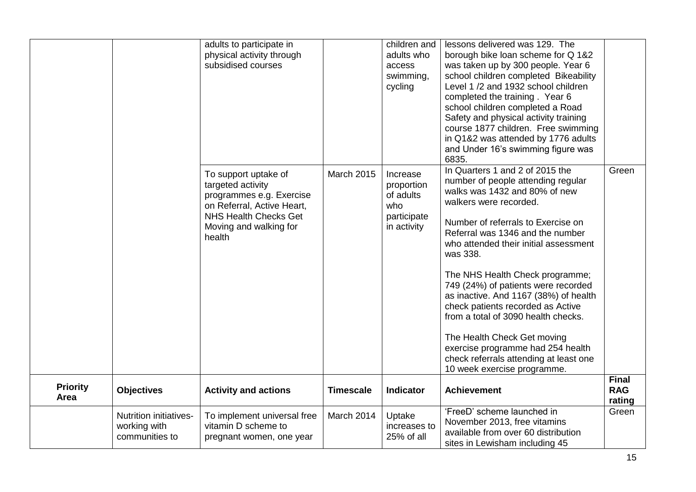|                         |                                                                 | adults to participate in<br>physical activity through<br>subsidised courses                                                                                             |                   | children and<br>adults who<br>access<br>swimming,<br>cycling             | lessons delivered was 129. The<br>borough bike loan scheme for Q 1&2<br>was taken up by 300 people. Year 6<br>school children completed Bikeability<br>Level 1 /2 and 1932 school children<br>completed the training. Year 6<br>school children completed a Road<br>Safety and physical activity training<br>course 1877 children. Free swimming<br>in Q1&2 was attended by 1776 adults<br>and Under 16's swimming figure was<br>6835. |                                      |
|-------------------------|-----------------------------------------------------------------|-------------------------------------------------------------------------------------------------------------------------------------------------------------------------|-------------------|--------------------------------------------------------------------------|----------------------------------------------------------------------------------------------------------------------------------------------------------------------------------------------------------------------------------------------------------------------------------------------------------------------------------------------------------------------------------------------------------------------------------------|--------------------------------------|
|                         |                                                                 | To support uptake of<br>targeted activity<br>programmes e.g. Exercise<br>on Referral, Active Heart,<br><b>NHS Health Checks Get</b><br>Moving and walking for<br>health | <b>March 2015</b> | Increase<br>proportion<br>of adults<br>who<br>participate<br>in activity | In Quarters 1 and 2 of 2015 the<br>number of people attending regular<br>walks was 1432 and 80% of new<br>walkers were recorded.<br>Number of referrals to Exercise on<br>Referral was 1346 and the number<br>who attended their initial assessment<br>was 338.                                                                                                                                                                        | Green                                |
|                         |                                                                 |                                                                                                                                                                         |                   |                                                                          | The NHS Health Check programme;<br>749 (24%) of patients were recorded<br>as inactive. And 1167 (38%) of health<br>check patients recorded as Active<br>from a total of 3090 health checks.<br>The Health Check Get moving<br>exercise programme had 254 health<br>check referrals attending at least one<br>10 week exercise programme.                                                                                               |                                      |
| <b>Priority</b><br>Area | <b>Objectives</b>                                               | <b>Activity and actions</b>                                                                                                                                             | <b>Timescale</b>  | <b>Indicator</b>                                                         | <b>Achievement</b>                                                                                                                                                                                                                                                                                                                                                                                                                     | <b>Final</b><br><b>RAG</b><br>rating |
|                         | <b>Nutrition initiatives-</b><br>working with<br>communities to | To implement universal free<br>vitamin D scheme to<br>pregnant women, one year                                                                                          | March 2014        | Uptake<br>increases to<br>25% of all                                     | 'FreeD' scheme launched in<br>November 2013, free vitamins<br>available from over 60 distribution<br>sites in Lewisham including 45                                                                                                                                                                                                                                                                                                    | Green                                |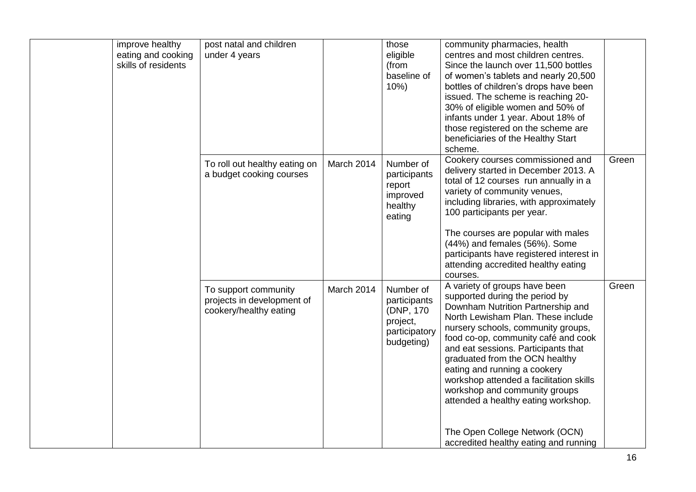| improve healthy<br>eating and cooking<br>skills of residents | post natal and children<br>under 4 years                                     |            | those<br>eligible<br>(from<br>baseline of<br>10%)                                  | community pharmacies, health<br>centres and most children centres.<br>Since the launch over 11,500 bottles<br>of women's tablets and nearly 20,500<br>bottles of children's drops have been<br>issued. The scheme is reaching 20-<br>30% of eligible women and 50% of<br>infants under 1 year. About 18% of<br>those registered on the scheme are<br>beneficiaries of the Healthy Start<br>scheme.                                                                                                                                         |       |
|--------------------------------------------------------------|------------------------------------------------------------------------------|------------|------------------------------------------------------------------------------------|--------------------------------------------------------------------------------------------------------------------------------------------------------------------------------------------------------------------------------------------------------------------------------------------------------------------------------------------------------------------------------------------------------------------------------------------------------------------------------------------------------------------------------------------|-------|
|                                                              | To roll out healthy eating on<br>a budget cooking courses                    | March 2014 | Number of<br>participants<br>report<br>improved<br>healthy<br>eating               | Cookery courses commissioned and<br>delivery started in December 2013. A<br>total of 12 courses run annually in a<br>variety of community venues,<br>including libraries, with approximately<br>100 participants per year.<br>The courses are popular with males<br>(44%) and females (56%). Some<br>participants have registered interest in<br>attending accredited healthy eating                                                                                                                                                       | Green |
|                                                              | To support community<br>projects in development of<br>cookery/healthy eating | March 2014 | Number of<br>participants<br>(DNP, 170)<br>project,<br>participatory<br>budgeting) | courses.<br>A variety of groups have been<br>supported during the period by<br>Downham Nutrition Partnership and<br>North Lewisham Plan. These include<br>nursery schools, community groups,<br>food co-op, community café and cook<br>and eat sessions. Participants that<br>graduated from the OCN healthy<br>eating and running a cookery<br>workshop attended a facilitation skills<br>workshop and community groups<br>attended a healthy eating workshop.<br>The Open College Network (OCN)<br>accredited healthy eating and running | Green |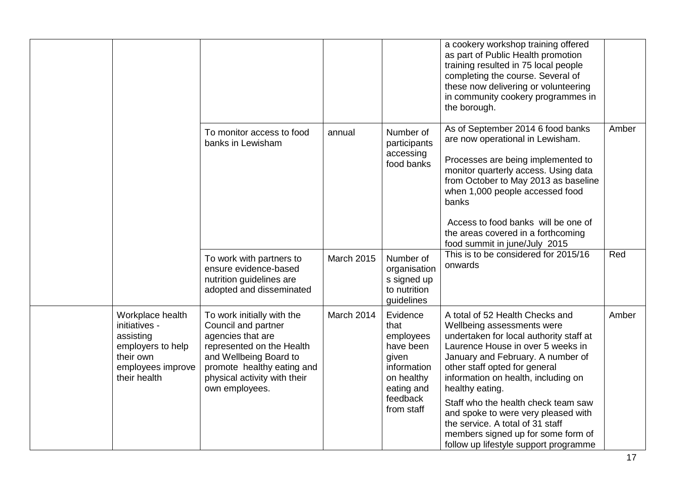|                                                                                                                       |                                                                                                                                                                                                               |            |                                                                                                                          | a cookery workshop training offered<br>as part of Public Health promotion<br>training resulted in 75 local people<br>completing the course. Several of<br>these now delivering or volunteering<br>in community cookery programmes in<br>the borough.                                                                                                                                                                                                                           |       |
|-----------------------------------------------------------------------------------------------------------------------|---------------------------------------------------------------------------------------------------------------------------------------------------------------------------------------------------------------|------------|--------------------------------------------------------------------------------------------------------------------------|--------------------------------------------------------------------------------------------------------------------------------------------------------------------------------------------------------------------------------------------------------------------------------------------------------------------------------------------------------------------------------------------------------------------------------------------------------------------------------|-------|
|                                                                                                                       | To monitor access to food<br>banks in Lewisham                                                                                                                                                                | annual     | Number of<br>participants<br>accessing<br>food banks                                                                     | As of September 2014 6 food banks<br>are now operational in Lewisham.<br>Processes are being implemented to<br>monitor quarterly access. Using data<br>from October to May 2013 as baseline<br>when 1,000 people accessed food<br>banks<br>Access to food banks will be one of<br>the areas covered in a forthcoming<br>food summit in june/July 2015                                                                                                                          | Amber |
|                                                                                                                       | To work with partners to<br>ensure evidence-based<br>nutrition guidelines are<br>adopted and disseminated                                                                                                     | March 2015 | Number of<br>organisation<br>s signed up<br>to nutrition<br>guidelines                                                   | This is to be considered for 2015/16<br>onwards                                                                                                                                                                                                                                                                                                                                                                                                                                | Red   |
| Workplace health<br>initiatives -<br>assisting<br>employers to help<br>their own<br>employees improve<br>their health | To work initially with the<br>Council and partner<br>agencies that are<br>represented on the Health<br>and Wellbeing Board to<br>promote healthy eating and<br>physical activity with their<br>own employees. | March 2014 | Evidence<br>that<br>employees<br>have been<br>given<br>information<br>on healthy<br>eating and<br>feedback<br>from staff | A total of 52 Health Checks and<br>Wellbeing assessments were<br>undertaken for local authority staff at<br>Laurence House in over 5 weeks in<br>January and February. A number of<br>other staff opted for general<br>information on health, including on<br>healthy eating.<br>Staff who the health check team saw<br>and spoke to were very pleased with<br>the service. A total of 31 staff<br>members signed up for some form of<br>follow up lifestyle support programme | Amber |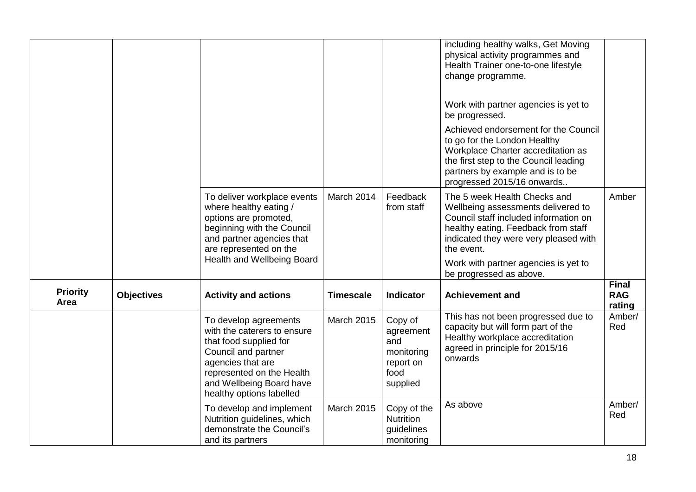|                         |                   |                                                                                                                                                                                                                 |                   |                                                                            | including healthy walks, Get Moving<br>physical activity programmes and<br>Health Trainer one-to-one lifestyle<br>change programme.                                                                                   |                                      |
|-------------------------|-------------------|-----------------------------------------------------------------------------------------------------------------------------------------------------------------------------------------------------------------|-------------------|----------------------------------------------------------------------------|-----------------------------------------------------------------------------------------------------------------------------------------------------------------------------------------------------------------------|--------------------------------------|
|                         |                   |                                                                                                                                                                                                                 |                   |                                                                            | Work with partner agencies is yet to<br>be progressed.                                                                                                                                                                |                                      |
|                         |                   |                                                                                                                                                                                                                 |                   |                                                                            | Achieved endorsement for the Council<br>to go for the London Healthy<br>Workplace Charter accreditation as<br>the first step to the Council leading<br>partners by example and is to be<br>progressed 2015/16 onwards |                                      |
|                         |                   | To deliver workplace events<br>where healthy eating /<br>options are promoted,<br>beginning with the Council<br>and partner agencies that<br>are represented on the                                             | March 2014        | Feedback<br>from staff                                                     | The 5 week Health Checks and<br>Wellbeing assessments delivered to<br>Council staff included information on<br>healthy eating. Feedback from staff<br>indicated they were very pleased with<br>the event.             | Amber                                |
|                         |                   | Health and Wellbeing Board                                                                                                                                                                                      |                   |                                                                            | Work with partner agencies is yet to<br>be progressed as above.                                                                                                                                                       |                                      |
| <b>Priority</b><br>Area | <b>Objectives</b> | <b>Activity and actions</b>                                                                                                                                                                                     | <b>Timescale</b>  | <b>Indicator</b>                                                           | <b>Achievement and</b>                                                                                                                                                                                                | <b>Final</b><br><b>RAG</b><br>rating |
|                         |                   | To develop agreements<br>with the caterers to ensure<br>that food supplied for<br>Council and partner<br>agencies that are<br>represented on the Health<br>and Wellbeing Board have<br>healthy options labelled | March 2015        | Copy of<br>agreement<br>and<br>monitoring<br>report on<br>food<br>supplied | This has not been progressed due to<br>capacity but will form part of the<br>Healthy workplace accreditation<br>agreed in principle for 2015/16<br>onwards                                                            | Amber/<br>Red                        |
|                         |                   | To develop and implement<br>Nutrition guidelines, which<br>demonstrate the Council's<br>and its partners                                                                                                        | <b>March 2015</b> | Copy of the<br>Nutrition<br>guidelines<br>monitoring                       | As above                                                                                                                                                                                                              | Amber/<br>Red                        |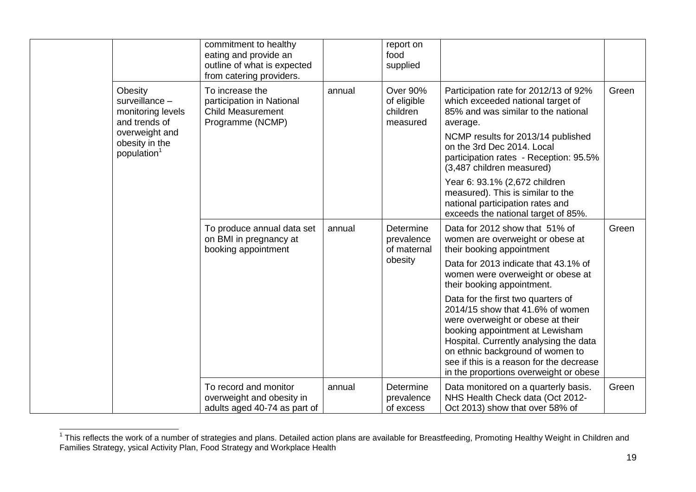|                                                                 | commitment to healthy<br>eating and provide an<br>outline of what is expected<br>from catering providers. |        | report on<br>food<br>supplied                   |                                                                                                                                                                                                                                                                                                                    |       |
|-----------------------------------------------------------------|-----------------------------------------------------------------------------------------------------------|--------|-------------------------------------------------|--------------------------------------------------------------------------------------------------------------------------------------------------------------------------------------------------------------------------------------------------------------------------------------------------------------------|-------|
| Obesity<br>surveillance -<br>monitoring levels<br>and trends of | To increase the<br>participation in National<br><b>Child Measurement</b><br>Programme (NCMP)              | annual | Over 90%<br>of eligible<br>children<br>measured | Participation rate for 2012/13 of 92%<br>which exceeded national target of<br>85% and was similar to the national<br>average.                                                                                                                                                                                      | Green |
| overweight and<br>obesity in the<br>population <sup>1</sup>     |                                                                                                           |        |                                                 | NCMP results for 2013/14 published<br>on the 3rd Dec 2014. Local<br>participation rates - Reception: 95.5%<br>(3,487 children measured)                                                                                                                                                                            |       |
|                                                                 |                                                                                                           |        |                                                 | Year 6: 93.1% (2,672 children<br>measured). This is similar to the<br>national participation rates and<br>exceeds the national target of 85%.                                                                                                                                                                      |       |
|                                                                 | To produce annual data set<br>on BMI in pregnancy at<br>booking appointment                               | annual | Determine<br>prevalence<br>of maternal          | Data for 2012 show that 51% of<br>women are overweight or obese at<br>their booking appointment                                                                                                                                                                                                                    | Green |
|                                                                 |                                                                                                           |        | obesity                                         | Data for 2013 indicate that 43.1% of<br>women were overweight or obese at<br>their booking appointment.                                                                                                                                                                                                            |       |
|                                                                 |                                                                                                           |        |                                                 | Data for the first two quarters of<br>2014/15 show that 41.6% of women<br>were overweight or obese at their<br>booking appointment at Lewisham<br>Hospital. Currently analysing the data<br>on ethnic background of women to<br>see if this is a reason for the decrease<br>in the proportions overweight or obese |       |
|                                                                 | To record and monitor<br>overweight and obesity in<br>adults aged 40-74 as part of                        | annual | Determine<br>prevalence<br>of excess            | Data monitored on a quarterly basis.<br>NHS Health Check data (Oct 2012-<br>Oct 2013) show that over 58% of                                                                                                                                                                                                        | Green |

<sup>————————————————————&</sup>lt;br><sup>1</sup> This reflects the work of a number of strategies and plans. Detailed action plans are available for Breastfeeding, Promoting Healthy Weight in Children and Families Strategy, ysical Activity Plan, Food Strategy and Workplace Health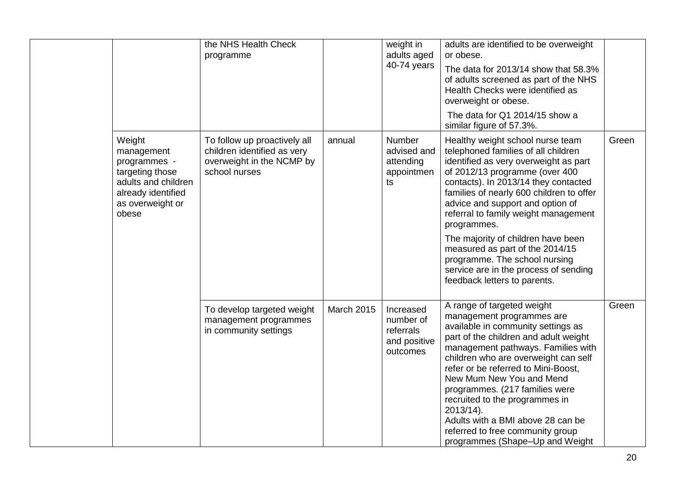|                                                                                                                                   | the NHS Health Check<br>programme                                                                         |                   | weight in<br>adults aged<br>40-74 years                         | adults are identified to be overweight<br>or obese.<br>The data for 2013/14 show that 58.3%<br>of adults screened as part of the NHS<br>Health Checks were identified as<br>overweight or obese.<br>The data for Q1 2014/15 show a<br>similar figure of 57.3%.                                                                                                                                                                                                                                                       |       |
|-----------------------------------------------------------------------------------------------------------------------------------|-----------------------------------------------------------------------------------------------------------|-------------------|-----------------------------------------------------------------|----------------------------------------------------------------------------------------------------------------------------------------------------------------------------------------------------------------------------------------------------------------------------------------------------------------------------------------------------------------------------------------------------------------------------------------------------------------------------------------------------------------------|-------|
| Weight<br>management<br>programmes -<br>targeting those<br>adults and children<br>already identified<br>as overweight or<br>obese | To follow up proactively all<br>children identified as very<br>overweight in the NCMP by<br>school nurses | annual            | Number<br>advised and<br>attending<br>appointmen<br>ts          | Healthy weight school nurse team<br>telephoned families of all children<br>identified as very overweight as part<br>of 2012/13 programme (over 400<br>contacts). In 2013/14 they contacted<br>families of nearly 600 children to offer<br>advice and support and option of<br>referral to family weight management<br>programmes.<br>The majority of children have been<br>measured as part of the 2014/15<br>programme. The school nursing<br>service are in the process of sending<br>feedback letters to parents. | Green |
|                                                                                                                                   | To develop targeted weight<br>management programmes<br>in community settings                              | <b>March 2015</b> | Increased<br>number of<br>referrals<br>and positive<br>outcomes | A range of targeted weight<br>management programmes are<br>available in community settings as<br>part of the children and adult weight<br>management pathways. Families with<br>children who are overweight can self<br>refer or be referred to Mini-Boost,<br>New Mum New You and Mend<br>programmes. (217 families were<br>recruited to the programmes in<br>2013/14).<br>Adults with a BMI above 28 can be<br>referred to free community group<br>programmes (Shape-Up and Weight                                 | Green |

 $\mathbf{I}$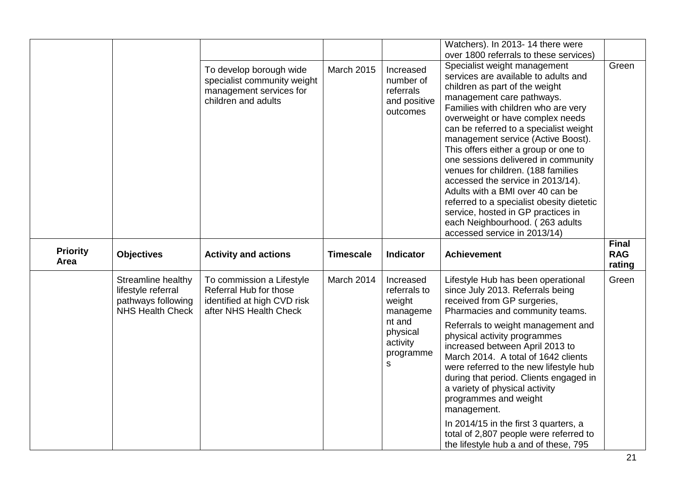|                         |                                                                                           |                                                                                                              |                   |                                                                                                     | Watchers). In 2013-14 there were<br>over 1800 referrals to these services)                                                                                                                                                                                                                                                                                                                                                                                                                                                                                                                                                                         |                                      |
|-------------------------|-------------------------------------------------------------------------------------------|--------------------------------------------------------------------------------------------------------------|-------------------|-----------------------------------------------------------------------------------------------------|----------------------------------------------------------------------------------------------------------------------------------------------------------------------------------------------------------------------------------------------------------------------------------------------------------------------------------------------------------------------------------------------------------------------------------------------------------------------------------------------------------------------------------------------------------------------------------------------------------------------------------------------------|--------------------------------------|
|                         |                                                                                           | To develop borough wide<br>specialist community weight<br>management services for<br>children and adults     | <b>March 2015</b> | Increased<br>number of<br>referrals<br>and positive<br>outcomes                                     | Specialist weight management<br>services are available to adults and<br>children as part of the weight<br>management care pathways.<br>Families with children who are very<br>overweight or have complex needs<br>can be referred to a specialist weight<br>management service (Active Boost).<br>This offers either a group or one to<br>one sessions delivered in community<br>venues for children. (188 families<br>accessed the service in 2013/14).<br>Adults with a BMI over 40 can be<br>referred to a specialist obesity dietetic<br>service, hosted in GP practices in<br>each Neighbourhood. (263 adults<br>accessed service in 2013/14) | Green                                |
| <b>Priority</b><br>Area | <b>Objectives</b>                                                                         | <b>Activity and actions</b>                                                                                  | <b>Timescale</b>  | <b>Indicator</b>                                                                                    | <b>Achievement</b>                                                                                                                                                                                                                                                                                                                                                                                                                                                                                                                                                                                                                                 | <b>Final</b><br><b>RAG</b><br>rating |
|                         | Streamline healthy<br>lifestyle referral<br>pathways following<br><b>NHS Health Check</b> | To commission a Lifestyle<br>Referral Hub for those<br>identified at high CVD risk<br>after NHS Health Check | March 2014        | Increased<br>referrals to<br>weight<br>manageme<br>nt and<br>physical<br>activity<br>programme<br>s | Lifestyle Hub has been operational<br>since July 2013. Referrals being<br>received from GP surgeries,<br>Pharmacies and community teams.<br>Referrals to weight management and<br>physical activity programmes<br>increased between April 2013 to<br>March 2014. A total of 1642 clients<br>were referred to the new lifestyle hub<br>during that period. Clients engaged in<br>a variety of physical activity<br>programmes and weight<br>management.<br>In 2014/15 in the first 3 quarters, a<br>total of 2,807 people were referred to<br>the lifestyle hub a and of these, 795                                                                 | Green                                |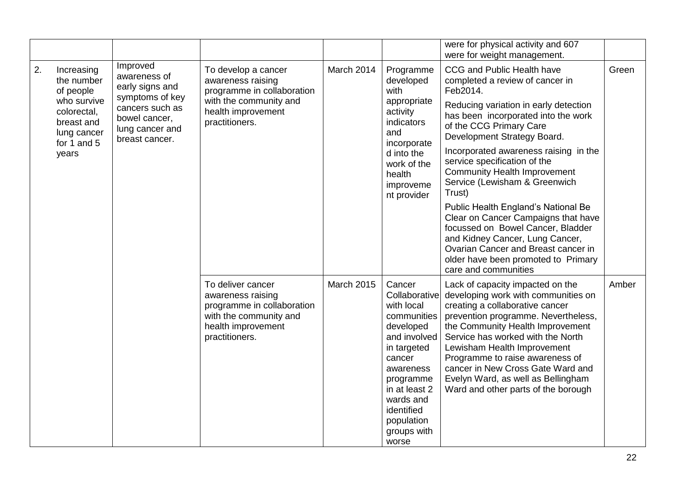|                                                                                                                                |                                                                                                                                         |                                                                                                                                          |                                                                                                                                        |                                                                                                                                                                  |                                                                                                                                                                                                                                                                                                                                                                                                                                                                                                                                                                                                                                            | were for physical activity and 607<br>were for weight management.                                                                                                                                                                                                                                                                                                                                              |       |
|--------------------------------------------------------------------------------------------------------------------------------|-----------------------------------------------------------------------------------------------------------------------------------------|------------------------------------------------------------------------------------------------------------------------------------------|----------------------------------------------------------------------------------------------------------------------------------------|------------------------------------------------------------------------------------------------------------------------------------------------------------------|--------------------------------------------------------------------------------------------------------------------------------------------------------------------------------------------------------------------------------------------------------------------------------------------------------------------------------------------------------------------------------------------------------------------------------------------------------------------------------------------------------------------------------------------------------------------------------------------------------------------------------------------|----------------------------------------------------------------------------------------------------------------------------------------------------------------------------------------------------------------------------------------------------------------------------------------------------------------------------------------------------------------------------------------------------------------|-------|
| 2.<br>Increasing<br>the number<br>of people<br>who survive<br>colorectal,<br>breast and<br>lung cancer<br>for 1 and 5<br>years | Improved<br>awareness of<br>early signs and<br>symptoms of key<br>cancers such as<br>bowel cancer,<br>lung cancer and<br>breast cancer. | To develop a cancer<br>awareness raising<br>programme in collaboration<br>with the community and<br>health improvement<br>practitioners. | March 2014                                                                                                                             | Programme<br>developed<br>with<br>appropriate<br>activity<br>indicators<br>and<br>incorporate<br>d into the<br>work of the<br>health<br>improveme<br>nt provider | CCG and Public Health have<br>completed a review of cancer in<br>Feb2014.<br>Reducing variation in early detection<br>has been incorporated into the work<br>of the CCG Primary Care<br>Development Strategy Board.<br>Incorporated awareness raising in the<br>service specification of the<br><b>Community Health Improvement</b><br>Service (Lewisham & Greenwich<br>Trust)<br>Public Health England's National Be<br>Clear on Cancer Campaigns that have<br>focussed on Bowel Cancer, Bladder<br>and Kidney Cancer, Lung Cancer,<br>Ovarian Cancer and Breast cancer in<br>older have been promoted to Primary<br>care and communities | Green                                                                                                                                                                                                                                                                                                                                                                                                          |       |
|                                                                                                                                |                                                                                                                                         |                                                                                                                                          | To deliver cancer<br>awareness raising<br>programme in collaboration<br>with the community and<br>health improvement<br>practitioners. | <b>March 2015</b>                                                                                                                                                | Cancer<br>Collaborative<br>with local<br>communities<br>developed<br>and involved<br>in targeted<br>cancer<br>awareness<br>programme<br>in at least 2<br>wards and<br>identified<br>population<br>groups with<br>worse                                                                                                                                                                                                                                                                                                                                                                                                                     | Lack of capacity impacted on the<br>developing work with communities on<br>creating a collaborative cancer<br>prevention programme. Nevertheless,<br>the Community Health Improvement<br>Service has worked with the North<br>Lewisham Health Improvement<br>Programme to raise awareness of<br>cancer in New Cross Gate Ward and<br>Evelyn Ward, as well as Bellingham<br>Ward and other parts of the borough | Amber |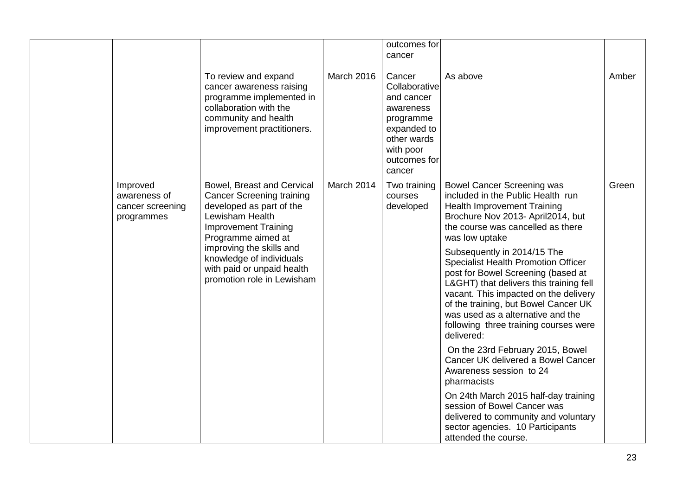|                                                            |                                                                                                                                                                                                                                                                                        |            | outcomes for<br>cancer                                                                                                               |                                                                                                                                                                                                                                                                                                                                                                                                                                                                                                                                                                                                                                                                                                                                                                                                                                                    |       |
|------------------------------------------------------------|----------------------------------------------------------------------------------------------------------------------------------------------------------------------------------------------------------------------------------------------------------------------------------------|------------|--------------------------------------------------------------------------------------------------------------------------------------|----------------------------------------------------------------------------------------------------------------------------------------------------------------------------------------------------------------------------------------------------------------------------------------------------------------------------------------------------------------------------------------------------------------------------------------------------------------------------------------------------------------------------------------------------------------------------------------------------------------------------------------------------------------------------------------------------------------------------------------------------------------------------------------------------------------------------------------------------|-------|
|                                                            | To review and expand<br>cancer awareness raising<br>programme implemented in<br>collaboration with the<br>community and health<br>improvement practitioners.                                                                                                                           | March 2016 | Cancer<br>Collaborative<br>and cancer<br>awareness<br>programme<br>expanded to<br>other wards<br>with poor<br>outcomes for<br>cancer | As above                                                                                                                                                                                                                                                                                                                                                                                                                                                                                                                                                                                                                                                                                                                                                                                                                                           | Amber |
| Improved<br>awareness of<br>cancer screening<br>programmes | Bowel, Breast and Cervical<br><b>Cancer Screening training</b><br>developed as part of the<br>Lewisham Health<br><b>Improvement Training</b><br>Programme aimed at<br>improving the skills and<br>knowledge of individuals<br>with paid or unpaid health<br>promotion role in Lewisham | March 2014 | Two training<br>courses<br>developed                                                                                                 | <b>Bowel Cancer Screening was</b><br>included in the Public Health run<br><b>Health Improvement Training</b><br>Brochure Nov 2013- April2014, but<br>the course was cancelled as there<br>was low uptake<br>Subsequently in 2014/15 The<br><b>Specialist Health Promotion Officer</b><br>post for Bowel Screening (based at<br>L&GHT) that delivers this training fell<br>vacant. This impacted on the delivery<br>of the training, but Bowel Cancer UK<br>was used as a alternative and the<br>following three training courses were<br>delivered:<br>On the 23rd February 2015, Bowel<br>Cancer UK delivered a Bowel Cancer<br>Awareness session to 24<br>pharmacists<br>On 24th March 2015 half-day training<br>session of Bowel Cancer was<br>delivered to community and voluntary<br>sector agencies. 10 Participants<br>attended the course. | Green |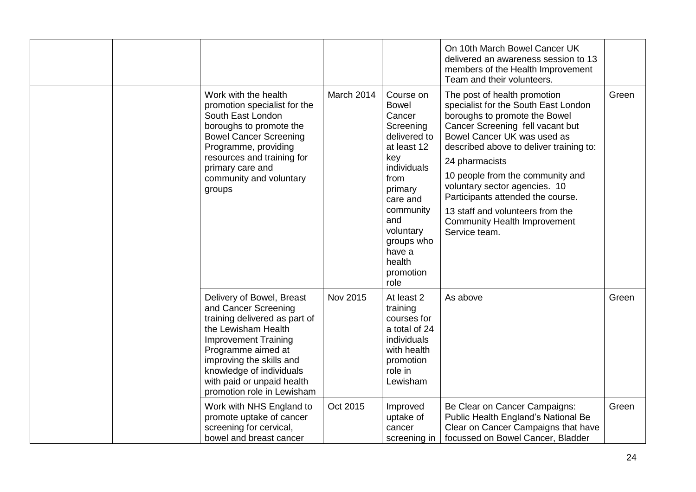|  |                                                                                                                                                                                                                                                                                    |                   |                                                                                                                                                                                                                              | On 10th March Bowel Cancer UK<br>delivered an awareness session to 13<br>members of the Health Improvement<br>Team and their volunteers.                                                                                                                                                                                                                                                                                                    |       |
|--|------------------------------------------------------------------------------------------------------------------------------------------------------------------------------------------------------------------------------------------------------------------------------------|-------------------|------------------------------------------------------------------------------------------------------------------------------------------------------------------------------------------------------------------------------|---------------------------------------------------------------------------------------------------------------------------------------------------------------------------------------------------------------------------------------------------------------------------------------------------------------------------------------------------------------------------------------------------------------------------------------------|-------|
|  | Work with the health<br>promotion specialist for the<br>South East London<br>boroughs to promote the<br><b>Bowel Cancer Screening</b><br>Programme, providing<br>resources and training for<br>primary care and<br>community and voluntary<br>groups                               | <b>March 2014</b> | Course on<br><b>Bowel</b><br>Cancer<br>Screening<br>delivered to<br>at least 12<br>key<br>individuals<br>from<br>primary<br>care and<br>community<br>and<br>voluntary<br>groups who<br>have a<br>health<br>promotion<br>role | The post of health promotion<br>specialist for the South East London<br>boroughs to promote the Bowel<br>Cancer Screening fell vacant but<br>Bowel Cancer UK was used as<br>described above to deliver training to:<br>24 pharmacists<br>10 people from the community and<br>voluntary sector agencies. 10<br>Participants attended the course.<br>13 staff and volunteers from the<br><b>Community Health Improvement</b><br>Service team. | Green |
|  | Delivery of Bowel, Breast<br>and Cancer Screening<br>training delivered as part of<br>the Lewisham Health<br><b>Improvement Training</b><br>Programme aimed at<br>improving the skills and<br>knowledge of individuals<br>with paid or unpaid health<br>promotion role in Lewisham | Nov 2015          | At least 2<br>training<br>courses for<br>a total of 24<br>individuals<br>with health<br>promotion<br>role in<br>Lewisham                                                                                                     | As above                                                                                                                                                                                                                                                                                                                                                                                                                                    | Green |
|  | Work with NHS England to<br>promote uptake of cancer<br>screening for cervical,<br>bowel and breast cancer                                                                                                                                                                         | Oct 2015          | Improved<br>uptake of<br>cancer<br>screening in                                                                                                                                                                              | Be Clear on Cancer Campaigns:<br>Public Health England's National Be<br>Clear on Cancer Campaigns that have<br>focussed on Bowel Cancer, Bladder                                                                                                                                                                                                                                                                                            | Green |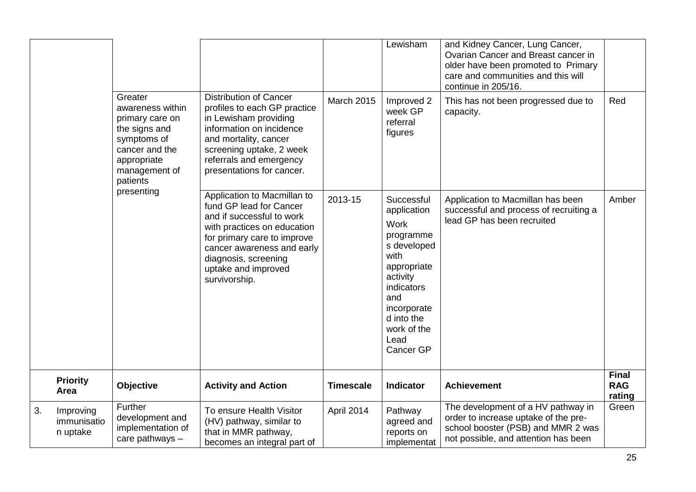|    |                                      |                                                                                                                                                            |                                                                                                                                                                                                                                                 |                   | Lewisham                                                                                                                                                                                      | and Kidney Cancer, Lung Cancer,<br>Ovarian Cancer and Breast cancer in<br>older have been promoted to Primary<br>care and communities and this will<br>continue in 205/16. |                                      |
|----|--------------------------------------|------------------------------------------------------------------------------------------------------------------------------------------------------------|-------------------------------------------------------------------------------------------------------------------------------------------------------------------------------------------------------------------------------------------------|-------------------|-----------------------------------------------------------------------------------------------------------------------------------------------------------------------------------------------|----------------------------------------------------------------------------------------------------------------------------------------------------------------------------|--------------------------------------|
|    |                                      | Greater<br>awareness within<br>primary care on<br>the signs and<br>symptoms of<br>cancer and the<br>appropriate<br>management of<br>patients<br>presenting | Distribution of Cancer<br>profiles to each GP practice<br>in Lewisham providing<br>information on incidence<br>and mortality, cancer<br>screening uptake, 2 week<br>referrals and emergency<br>presentations for cancer.                        | <b>March 2015</b> | Improved 2<br>week GP<br>referral<br>figures                                                                                                                                                  | This has not been progressed due to<br>capacity.                                                                                                                           | Red                                  |
|    |                                      |                                                                                                                                                            | Application to Macmillan to<br>fund GP lead for Cancer<br>and if successful to work<br>with practices on education<br>for primary care to improve<br>cancer awareness and early<br>diagnosis, screening<br>uptake and improved<br>survivorship. | 2013-15           | Successful<br>application<br><b>Work</b><br>programme<br>s developed<br>with<br>appropriate<br>activity<br>indicators<br>and<br>incorporate<br>d into the<br>work of the<br>Lead<br>Cancer GP | Application to Macmillan has been<br>successful and process of recruiting a<br>lead GP has been recruited                                                                  | Amber                                |
|    | <b>Priority</b><br>Area              | Objective                                                                                                                                                  | <b>Activity and Action</b>                                                                                                                                                                                                                      | <b>Timescale</b>  | <b>Indicator</b>                                                                                                                                                                              | <b>Achievement</b>                                                                                                                                                         | <b>Final</b><br><b>RAG</b><br>rating |
| 3. | Improving<br>immunisatio<br>n uptake | Further<br>development and<br>implementation of<br>care pathways $-$                                                                                       | To ensure Health Visitor<br>(HV) pathway, similar to<br>that in MMR pathway,<br>becomes an integral part of                                                                                                                                     | April 2014        | Pathway<br>agreed and<br>reports on<br>implementat                                                                                                                                            | The development of a HV pathway in<br>order to increase uptake of the pre-<br>school booster (PSB) and MMR 2 was<br>not possible, and attention has been                   | Green                                |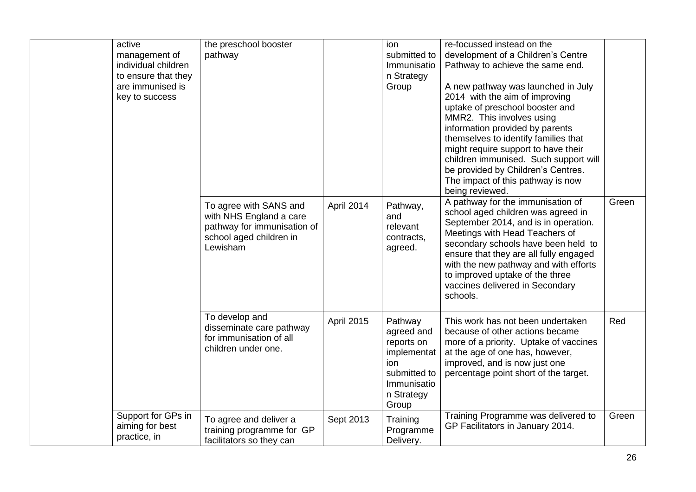| active              | the preschool booster       |                   | ion          | re-focussed instead on the             |       |
|---------------------|-----------------------------|-------------------|--------------|----------------------------------------|-------|
| management of       | pathway                     |                   | submitted to | development of a Children's Centre     |       |
| individual children |                             |                   | Immunisatio  | Pathway to achieve the same end.       |       |
| to ensure that they |                             |                   | n Strategy   |                                        |       |
| are immunised is    |                             |                   | Group        | A new pathway was launched in July     |       |
| key to success      |                             |                   |              | 2014 with the aim of improving         |       |
|                     |                             |                   |              | uptake of preschool booster and        |       |
|                     |                             |                   |              | MMR2. This involves using              |       |
|                     |                             |                   |              | information provided by parents        |       |
|                     |                             |                   |              | themselves to identify families that   |       |
|                     |                             |                   |              | might require support to have their    |       |
|                     |                             |                   |              | children immunised. Such support will  |       |
|                     |                             |                   |              | be provided by Children's Centres.     |       |
|                     |                             |                   |              | The impact of this pathway is now      |       |
|                     |                             |                   |              | being reviewed.                        |       |
|                     | To agree with SANS and      | April 2014        | Pathway,     | A pathway for the immunisation of      | Green |
|                     | with NHS England a care     |                   | and          | school aged children was agreed in     |       |
|                     | pathway for immunisation of |                   | relevant     | September 2014, and is in operation.   |       |
|                     | school aged children in     |                   | contracts,   | Meetings with Head Teachers of         |       |
|                     | Lewisham                    |                   | agreed.      | secondary schools have been held to    |       |
|                     |                             |                   |              | ensure that they are all fully engaged |       |
|                     |                             |                   |              | with the new pathway and with efforts  |       |
|                     |                             |                   |              | to improved uptake of the three        |       |
|                     |                             |                   |              | vaccines delivered in Secondary        |       |
|                     |                             |                   |              | schools.                               |       |
|                     |                             |                   |              |                                        |       |
|                     | To develop and              | <b>April 2015</b> | Pathway      | This work has not been undertaken      | Red   |
|                     | disseminate care pathway    |                   | agreed and   | because of other actions became        |       |
|                     | for immunisation of all     |                   | reports on   | more of a priority. Uptake of vaccines |       |
|                     | children under one.         |                   | implementat  | at the age of one has, however,        |       |
|                     |                             |                   | ion          | improved, and is now just one          |       |
|                     |                             |                   | submitted to | percentage point short of the target.  |       |
|                     |                             |                   | Immunisatio  |                                        |       |
|                     |                             |                   | n Strategy   |                                        |       |
|                     |                             |                   | Group        |                                        |       |
| Support for GPs in  | To agree and deliver a      | Sept 2013         | Training     | Training Programme was delivered to    | Green |
| aiming for best     | training programme for GP   |                   | Programme    | GP Facilitators in January 2014.       |       |
| practice, in        | facilitators so they can    |                   | Delivery.    |                                        |       |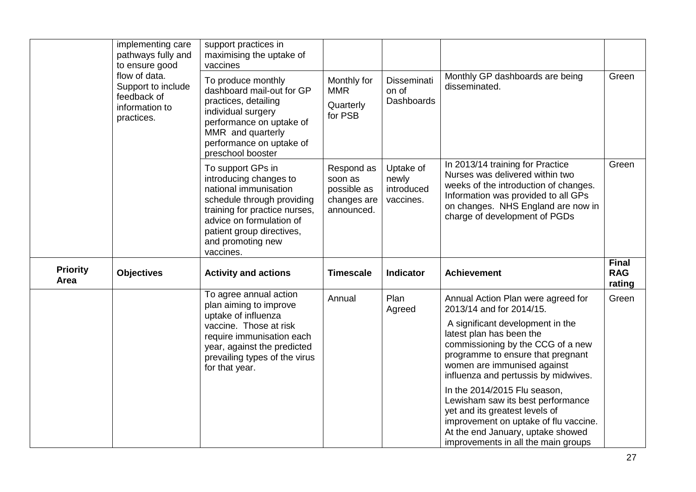|                         | implementing care<br>pathways fully and<br>to ensure good<br>flow of data.<br>Support to include<br>feedback of<br>information to<br>practices. | support practices in<br>maximising the uptake of<br>vaccines                                                                                                                                                                   |                                                                   |                                               |                                                                                                                                                                                                                            |                                      |
|-------------------------|-------------------------------------------------------------------------------------------------------------------------------------------------|--------------------------------------------------------------------------------------------------------------------------------------------------------------------------------------------------------------------------------|-------------------------------------------------------------------|-----------------------------------------------|----------------------------------------------------------------------------------------------------------------------------------------------------------------------------------------------------------------------------|--------------------------------------|
|                         |                                                                                                                                                 | To produce monthly<br>dashboard mail-out for GP<br>practices, detailing<br>individual surgery<br>performance on uptake of<br>MMR and quarterly<br>performance on uptake of<br>preschool booster                                | Monthly for<br><b>MMR</b><br>Quarterly<br>for PSB                 | Disseminati<br>on of<br><b>Dashboards</b>     | Monthly GP dashboards are being<br>disseminated.                                                                                                                                                                           | Green                                |
|                         |                                                                                                                                                 | To support GPs in<br>introducing changes to<br>national immunisation<br>schedule through providing<br>training for practice nurses,<br>advice on formulation of<br>patient group directives,<br>and promoting new<br>vaccines. | Respond as<br>soon as<br>possible as<br>changes are<br>announced. | Uptake of<br>newly<br>introduced<br>vaccines. | In 2013/14 training for Practice<br>Nurses was delivered within two<br>weeks of the introduction of changes.<br>Information was provided to all GPs<br>on changes. NHS England are now in<br>charge of development of PGDs | Green                                |
| <b>Priority</b><br>Area | <b>Objectives</b>                                                                                                                               | <b>Activity and actions</b>                                                                                                                                                                                                    | <b>Timescale</b>                                                  | <b>Indicator</b>                              | <b>Achievement</b>                                                                                                                                                                                                         | <b>Final</b><br><b>RAG</b><br>rating |
|                         |                                                                                                                                                 | To agree annual action<br>plan aiming to improve<br>uptake of influenza                                                                                                                                                        | Annual                                                            | Plan<br>Agreed                                | Annual Action Plan were agreed for<br>2013/14 and for 2014/15.                                                                                                                                                             | Green                                |
|                         |                                                                                                                                                 | vaccine. Those at risk<br>require immunisation each<br>year, against the predicted<br>prevailing types of the virus<br>for that year.                                                                                          |                                                                   |                                               | A significant development in the<br>latest plan has been the<br>commissioning by the CCG of a new<br>programme to ensure that pregnant<br>women are immunised against<br>influenza and pertussis by midwives.              |                                      |
|                         |                                                                                                                                                 |                                                                                                                                                                                                                                |                                                                   |                                               | In the 2014/2015 Flu season,<br>Lewisham saw its best performance<br>yet and its greatest levels of<br>improvement on uptake of flu vaccine.<br>At the end January, uptake showed<br>improvements in all the main groups   |                                      |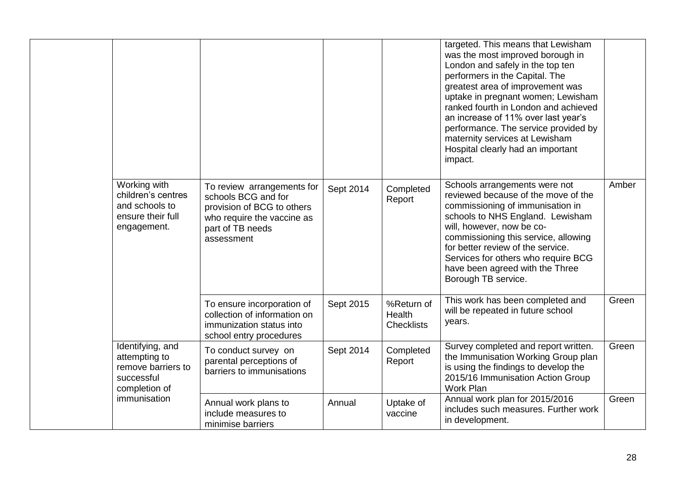|                                                                                          |                                                                                                                                                 |           |                                           | targeted. This means that Lewisham<br>was the most improved borough in<br>London and safely in the top ten<br>performers in the Capital. The<br>greatest area of improvement was<br>uptake in pregnant women; Lewisham<br>ranked fourth in London and achieved<br>an increase of 11% over last year's<br>performance. The service provided by<br>maternity services at Lewisham<br>Hospital clearly had an important<br>impact. |       |
|------------------------------------------------------------------------------------------|-------------------------------------------------------------------------------------------------------------------------------------------------|-----------|-------------------------------------------|---------------------------------------------------------------------------------------------------------------------------------------------------------------------------------------------------------------------------------------------------------------------------------------------------------------------------------------------------------------------------------------------------------------------------------|-------|
| Working with<br>children's centres<br>and schools to<br>ensure their full<br>engagement. | To review arrangements for<br>schools BCG and for<br>provision of BCG to others<br>who require the vaccine as<br>part of TB needs<br>assessment | Sept 2014 | Completed<br>Report                       | Schools arrangements were not<br>reviewed because of the move of the<br>commissioning of immunisation in<br>schools to NHS England. Lewisham<br>will, however, now be co-<br>commissioning this service, allowing<br>for better review of the service.<br>Services for others who require BCG<br>have been agreed with the Three<br>Borough TB service.                                                                         | Amber |
|                                                                                          | To ensure incorporation of<br>collection of information on<br>immunization status into<br>school entry procedures                               | Sept 2015 | %Return of<br>Health<br><b>Checklists</b> | This work has been completed and<br>will be repeated in future school<br>years.                                                                                                                                                                                                                                                                                                                                                 | Green |
| Identifying, and<br>attempting to<br>remove barriers to<br>successful<br>completion of   | To conduct survey on<br>parental perceptions of<br>barriers to immunisations                                                                    | Sept 2014 | Completed<br>Report                       | Survey completed and report written.<br>the Immunisation Working Group plan<br>is using the findings to develop the<br>2015/16 Immunisation Action Group<br><b>Work Plan</b>                                                                                                                                                                                                                                                    | Green |
| immunisation                                                                             | Annual work plans to<br>include measures to<br>minimise barriers                                                                                | Annual    | Uptake of<br>vaccine                      | Annual work plan for 2015/2016<br>includes such measures. Further work<br>in development.                                                                                                                                                                                                                                                                                                                                       | Green |

 $\mathbf{I}$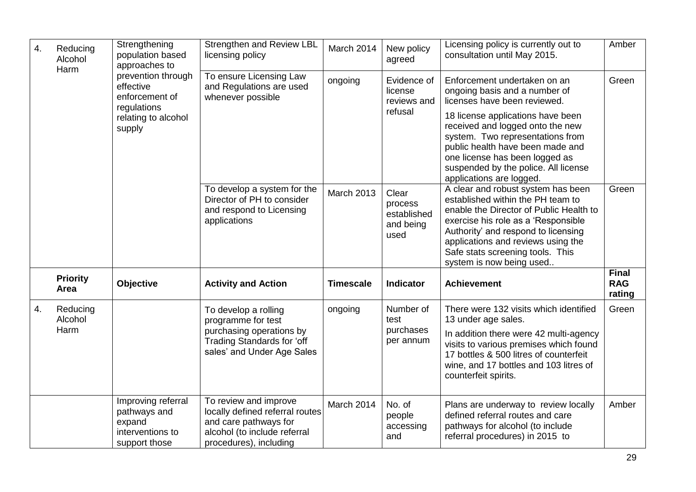| 4. | Reducing<br>Alcohol<br>Harm | Strengthening<br>population based<br>approaches to<br>prevention through          | <b>Strengthen and Review LBL</b><br>licensing policy                                                                                        | March 2014       | New policy<br>agreed                                 | Licensing policy is currently out to<br>consultation until May 2015.                                                                                                                                                                                                                                   | Amber                                |
|----|-----------------------------|-----------------------------------------------------------------------------------|---------------------------------------------------------------------------------------------------------------------------------------------|------------------|------------------------------------------------------|--------------------------------------------------------------------------------------------------------------------------------------------------------------------------------------------------------------------------------------------------------------------------------------------------------|--------------------------------------|
|    |                             | effective<br>enforcement of                                                       | To ensure Licensing Law<br>and Regulations are used<br>whenever possible                                                                    | ongoing          | Evidence of<br>license<br>reviews and                | Enforcement undertaken on an<br>ongoing basis and a number of<br>licenses have been reviewed.                                                                                                                                                                                                          | Green                                |
|    |                             | regulations<br>relating to alcohol<br>supply                                      |                                                                                                                                             |                  | refusal                                              | 18 license applications have been<br>received and logged onto the new<br>system. Two representations from<br>public health have been made and<br>one license has been logged as<br>suspended by the police. All license<br>applications are logged.                                                    |                                      |
|    |                             |                                                                                   | To develop a system for the<br>Director of PH to consider<br>and respond to Licensing<br>applications                                       | March 2013       | Clear<br>process<br>established<br>and being<br>used | A clear and robust system has been<br>established within the PH team to<br>enable the Director of Public Health to<br>exercise his role as a 'Responsible<br>Authority' and respond to licensing<br>applications and reviews using the<br>Safe stats screening tools. This<br>system is now being used | Green                                |
|    | <b>Priority</b><br>Area     | Objective                                                                         | <b>Activity and Action</b>                                                                                                                  | <b>Timescale</b> | <b>Indicator</b>                                     | <b>Achievement</b>                                                                                                                                                                                                                                                                                     | <b>Final</b><br><b>RAG</b><br>rating |
| 4. | Reducing<br>Alcohol<br>Harm |                                                                                   | To develop a rolling<br>programme for test<br>purchasing operations by<br>Trading Standards for 'off<br>sales' and Under Age Sales          | ongoing          | Number of<br>test<br>purchases<br>per annum          | There were 132 visits which identified<br>13 under age sales.<br>In addition there were 42 multi-agency<br>visits to various premises which found<br>17 bottles & 500 litres of counterfeit<br>wine, and 17 bottles and 103 litres of<br>counterfeit spirits.                                          | Green                                |
|    |                             | Improving referral<br>pathways and<br>expand<br>interventions to<br>support those | To review and improve<br>locally defined referral routes<br>and care pathways for<br>alcohol (to include referral<br>procedures), including | March 2014       | No. of<br>people<br>accessing<br>and                 | Plans are underway to review locally<br>defined referral routes and care<br>pathways for alcohol (to include<br>referral procedures) in 2015 to                                                                                                                                                        | Amber                                |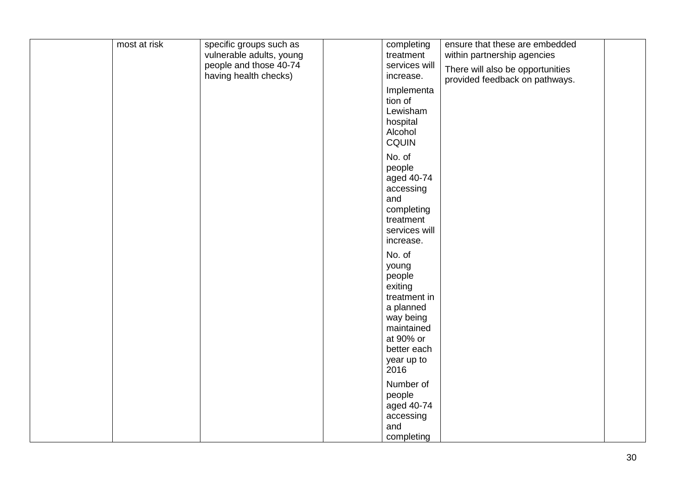| most at risk | specific groups such as  | completing                                                                                                                                     | ensure that these are embedded   |  |
|--------------|--------------------------|------------------------------------------------------------------------------------------------------------------------------------------------|----------------------------------|--|
|              | vulnerable adults, young | treatment                                                                                                                                      | within partnership agencies      |  |
|              | people and those 40-74   | services will                                                                                                                                  | There will also be opportunities |  |
|              | having health checks)    | increase.                                                                                                                                      | provided feedback on pathways.   |  |
|              |                          | Implementa<br>tion of<br>Lewisham<br>hospital<br>Alcohol<br><b>CQUIN</b>                                                                       |                                  |  |
|              |                          | No. of<br>people<br>aged 40-74<br>accessing<br>and<br>completing<br>treatment<br>services will<br>increase.                                    |                                  |  |
|              |                          | No. of<br>young<br>people<br>exiting<br>treatment in<br>a planned<br>way being<br>maintained<br>at 90% or<br>better each<br>year up to<br>2016 |                                  |  |
|              |                          | Number of<br>people<br>aged 40-74<br>accessing<br>and<br>completing                                                                            |                                  |  |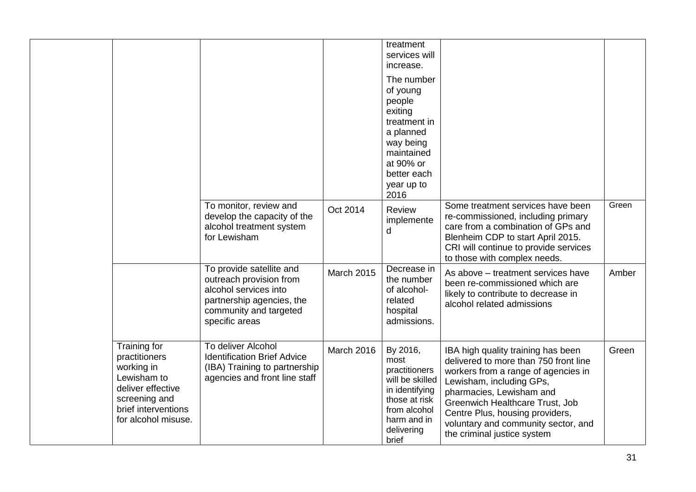|                                                                                                                                                |                                                                                                                                                       |                   | treatment<br>services will<br>increase.                                                                                                               |                                                                                                                                                                                                                                                                                                                        |       |
|------------------------------------------------------------------------------------------------------------------------------------------------|-------------------------------------------------------------------------------------------------------------------------------------------------------|-------------------|-------------------------------------------------------------------------------------------------------------------------------------------------------|------------------------------------------------------------------------------------------------------------------------------------------------------------------------------------------------------------------------------------------------------------------------------------------------------------------------|-------|
|                                                                                                                                                |                                                                                                                                                       |                   | The number<br>of young<br>people<br>exiting<br>treatment in<br>a planned<br>way being<br>maintained<br>at 90% or<br>better each<br>year up to<br>2016 |                                                                                                                                                                                                                                                                                                                        |       |
|                                                                                                                                                | To monitor, review and<br>develop the capacity of the<br>alcohol treatment system<br>for Lewisham                                                     | Oct 2014          | <b>Review</b><br>implemente<br>d                                                                                                                      | Some treatment services have been<br>re-commissioned, including primary<br>care from a combination of GPs and<br>Blenheim CDP to start April 2015.<br>CRI will continue to provide services<br>to those with complex needs.                                                                                            | Green |
|                                                                                                                                                | To provide satellite and<br>outreach provision from<br>alcohol services into<br>partnership agencies, the<br>community and targeted<br>specific areas | <b>March 2015</b> | Decrease in<br>the number<br>of alcohol-<br>related<br>hospital<br>admissions.                                                                        | As above - treatment services have<br>been re-commissioned which are<br>likely to contribute to decrease in<br>alcohol related admissions                                                                                                                                                                              | Amber |
| Training for<br>practitioners<br>working in<br>Lewisham to<br>deliver effective<br>screening and<br>brief interventions<br>for alcohol misuse. | To deliver Alcohol<br><b>Identification Brief Advice</b><br>(IBA) Training to partnership<br>agencies and front line staff                            | March 2016        | By 2016,<br>most<br>practitioners<br>will be skilled<br>in identifying<br>those at risk<br>from alcohol<br>harm and in<br>delivering<br>brief         | IBA high quality training has been<br>delivered to more than 750 front line<br>workers from a range of agencies in<br>Lewisham, including GPs,<br>pharmacies, Lewisham and<br>Greenwich Healthcare Trust, Job<br>Centre Plus, housing providers,<br>voluntary and community sector, and<br>the criminal justice system | Green |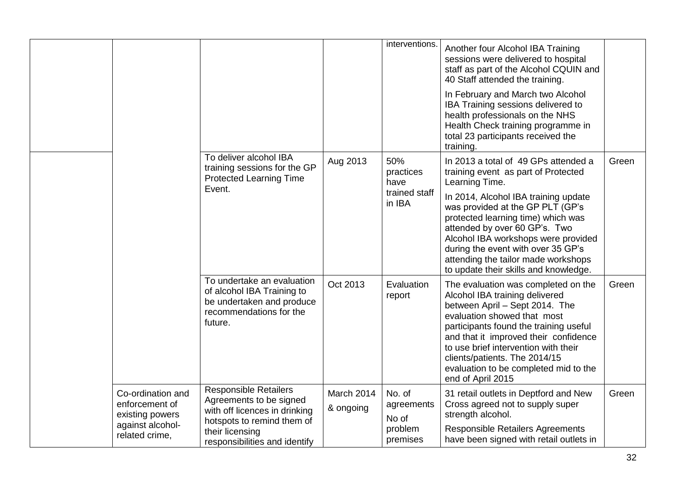|                                                                                              |                                                                                                                                                                            |                         | interventions.                                       | Another four Alcohol IBA Training<br>sessions were delivered to hospital<br>staff as part of the Alcohol CQUIN and<br>40 Staff attended the training.<br>In February and March two Alcohol<br>IBA Training sessions delivered to<br>health professionals on the NHS<br>Health Check training programme in<br>total 23 participants received the<br>training.                                                  |       |
|----------------------------------------------------------------------------------------------|----------------------------------------------------------------------------------------------------------------------------------------------------------------------------|-------------------------|------------------------------------------------------|---------------------------------------------------------------------------------------------------------------------------------------------------------------------------------------------------------------------------------------------------------------------------------------------------------------------------------------------------------------------------------------------------------------|-------|
|                                                                                              | To deliver alcohol IBA<br>training sessions for the GP<br><b>Protected Learning Time</b><br>Event.                                                                         | Aug 2013                | 50%<br>practices<br>have<br>trained staff<br>in IBA  | In 2013 a total of 49 GPs attended a<br>training event as part of Protected<br>Learning Time.<br>In 2014, Alcohol IBA training update<br>was provided at the GP PLT (GP's<br>protected learning time) which was<br>attended by over 60 GP's. Two<br>Alcohol IBA workshops were provided<br>during the event with over 35 GP's<br>attending the tailor made workshops<br>to update their skills and knowledge. | Green |
|                                                                                              | To undertake an evaluation<br>of alcohol IBA Training to<br>be undertaken and produce<br>recommendations for the<br>future.                                                | Oct 2013                | Evaluation<br>report                                 | The evaluation was completed on the<br>Alcohol IBA training delivered<br>between April - Sept 2014. The<br>evaluation showed that most<br>participants found the training useful<br>and that it improved their confidence<br>to use brief intervention with their<br>clients/patients. The 2014/15<br>evaluation to be completed mid to the<br>end of April 2015                                              | Green |
| Co-ordination and<br>enforcement of<br>existing powers<br>against alcohol-<br>related crime, | <b>Responsible Retailers</b><br>Agreements to be signed<br>with off licences in drinking<br>hotspots to remind them of<br>their licensing<br>responsibilities and identify | March 2014<br>& ongoing | No. of<br>agreements<br>No of<br>problem<br>premises | 31 retail outlets in Deptford and New<br>Cross agreed not to supply super<br>strength alcohol.<br><b>Responsible Retailers Agreements</b><br>have been signed with retail outlets in                                                                                                                                                                                                                          | Green |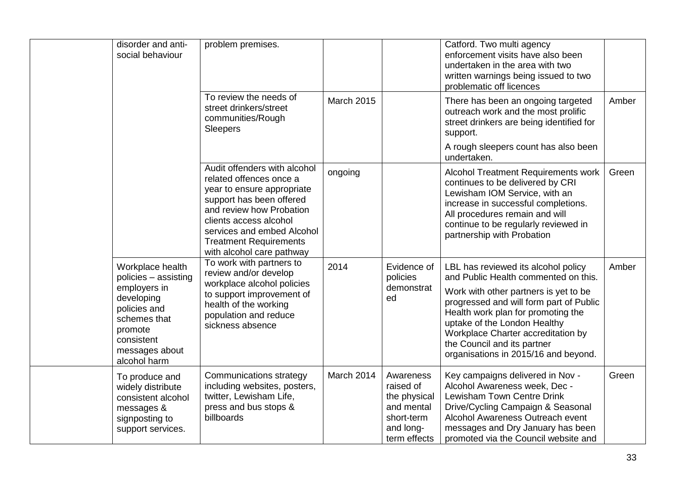| disorder and anti-<br>social behaviour                                                                                                                            | problem premises.                                                                                                                                                                                                                                                   |            |                                                                                                 | Catford. Two multi agency<br>enforcement visits have also been<br>undertaken in the area with two<br>written warnings being issued to two<br>problematic off licences                                                                                                                                                                              |       |
|-------------------------------------------------------------------------------------------------------------------------------------------------------------------|---------------------------------------------------------------------------------------------------------------------------------------------------------------------------------------------------------------------------------------------------------------------|------------|-------------------------------------------------------------------------------------------------|----------------------------------------------------------------------------------------------------------------------------------------------------------------------------------------------------------------------------------------------------------------------------------------------------------------------------------------------------|-------|
|                                                                                                                                                                   | To review the needs of<br>street drinkers/street<br>communities/Rough<br>Sleepers                                                                                                                                                                                   | March 2015 |                                                                                                 | There has been an ongoing targeted<br>outreach work and the most prolific<br>street drinkers are being identified for<br>support.                                                                                                                                                                                                                  | Amber |
|                                                                                                                                                                   |                                                                                                                                                                                                                                                                     |            |                                                                                                 | A rough sleepers count has also been<br>undertaken.                                                                                                                                                                                                                                                                                                |       |
|                                                                                                                                                                   | Audit offenders with alcohol<br>related offences once a<br>year to ensure appropriate<br>support has been offered<br>and review how Probation<br>clients access alcohol<br>services and embed Alcohol<br><b>Treatment Requirements</b><br>with alcohol care pathway | ongoing    |                                                                                                 | <b>Alcohol Treatment Requirements work</b><br>continues to be delivered by CRI<br>Lewisham IOM Service, with an<br>increase in successful completions.<br>All procedures remain and will<br>continue to be regularly reviewed in<br>partnership with Probation                                                                                     | Green |
| Workplace health<br>policies - assisting<br>employers in<br>developing<br>policies and<br>schemes that<br>promote<br>consistent<br>messages about<br>alcohol harm | To work with partners to<br>review and/or develop<br>workplace alcohol policies<br>to support improvement of<br>health of the working<br>population and reduce<br>sickness absence                                                                                  | 2014       | Evidence of<br>policies<br>demonstrat<br>ed                                                     | LBL has reviewed its alcohol policy<br>and Public Health commented on this.<br>Work with other partners is yet to be<br>progressed and will form part of Public<br>Health work plan for promoting the<br>uptake of the London Healthy<br>Workplace Charter accreditation by<br>the Council and its partner<br>organisations in 2015/16 and beyond. | Amber |
| To produce and<br>widely distribute<br>consistent alcohol<br>messages &<br>signposting to<br>support services.                                                    | <b>Communications strategy</b><br>including websites, posters,<br>twitter, Lewisham Life,<br>press and bus stops &<br>billboards                                                                                                                                    | March 2014 | Awareness<br>raised of<br>the physical<br>and mental<br>short-term<br>and long-<br>term effects | Key campaigns delivered in Nov -<br>Alcohol Awareness week, Dec -<br>Lewisham Town Centre Drink<br>Drive/Cycling Campaign & Seasonal<br>Alcohol Awareness Outreach event<br>messages and Dry January has been<br>promoted via the Council website and                                                                                              | Green |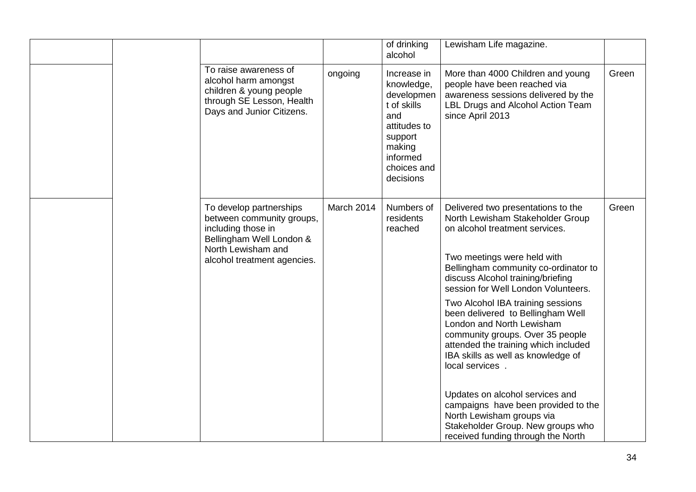|  |                                                                                                                                                             |            | of drinking<br>alcohol                                                                                                                     | Lewisham Life magazine.                                                                                                                                                                                                                                                                                                                                                                                                                                                                                                                    |       |
|--|-------------------------------------------------------------------------------------------------------------------------------------------------------------|------------|--------------------------------------------------------------------------------------------------------------------------------------------|--------------------------------------------------------------------------------------------------------------------------------------------------------------------------------------------------------------------------------------------------------------------------------------------------------------------------------------------------------------------------------------------------------------------------------------------------------------------------------------------------------------------------------------------|-------|
|  | To raise awareness of<br>alcohol harm amongst<br>children & young people<br>through SE Lesson, Health<br>Days and Junior Citizens.                          | ongoing    | Increase in<br>knowledge,<br>developmen<br>t of skills<br>and<br>attitudes to<br>support<br>making<br>informed<br>choices and<br>decisions | More than 4000 Children and young<br>people have been reached via<br>awareness sessions delivered by the<br>LBL Drugs and Alcohol Action Team<br>since April 2013                                                                                                                                                                                                                                                                                                                                                                          | Green |
|  | To develop partnerships<br>between community groups,<br>including those in<br>Bellingham Well London &<br>North Lewisham and<br>alcohol treatment agencies. | March 2014 | Numbers of<br>residents<br>reached                                                                                                         | Delivered two presentations to the<br>North Lewisham Stakeholder Group<br>on alcohol treatment services.<br>Two meetings were held with<br>Bellingham community co-ordinator to<br>discuss Alcohol training/briefing<br>session for Well London Volunteers.<br>Two Alcohol IBA training sessions<br>been delivered to Bellingham Well<br>London and North Lewisham<br>community groups. Over 35 people<br>attended the training which included<br>IBA skills as well as knowledge of<br>local services.<br>Updates on alcohol services and | Green |
|  |                                                                                                                                                             |            |                                                                                                                                            | campaigns have been provided to the<br>North Lewisham groups via<br>Stakeholder Group. New groups who<br>received funding through the North                                                                                                                                                                                                                                                                                                                                                                                                |       |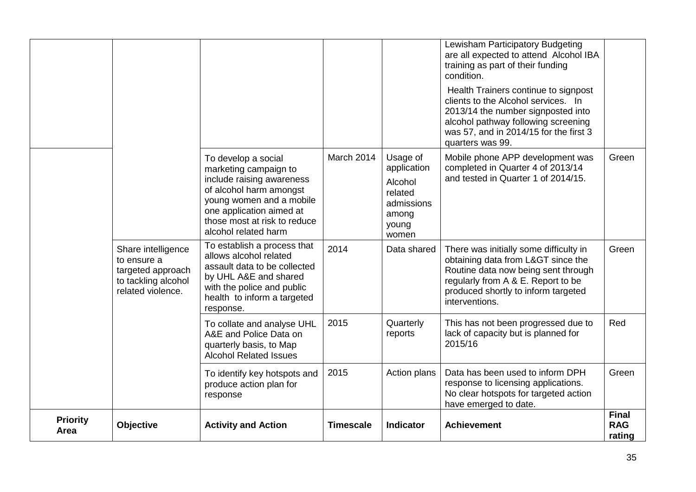| <b>Priority</b><br>Area | <b>Objective</b>                                                                                   | <b>Activity and Action</b>                                                                                                                                                                                           | <b>Timescale</b> | Indicator                                                                              | <b>Achievement</b>                                                                                                                                                                                                                   | <b>Final</b><br><b>RAG</b><br>rating |
|-------------------------|----------------------------------------------------------------------------------------------------|----------------------------------------------------------------------------------------------------------------------------------------------------------------------------------------------------------------------|------------------|----------------------------------------------------------------------------------------|--------------------------------------------------------------------------------------------------------------------------------------------------------------------------------------------------------------------------------------|--------------------------------------|
|                         |                                                                                                    | To identify key hotspots and<br>produce action plan for<br>response                                                                                                                                                  | 2015             | Action plans                                                                           | Data has been used to inform DPH<br>response to licensing applications.<br>No clear hotspots for targeted action<br>have emerged to date.                                                                                            | Green                                |
|                         |                                                                                                    | To collate and analyse UHL<br>A&E and Police Data on<br>quarterly basis, to Map<br><b>Alcohol Related Issues</b>                                                                                                     | 2015             | Quarterly<br>reports                                                                   | This has not been progressed due to<br>lack of capacity but is planned for<br>2015/16                                                                                                                                                | Red                                  |
|                         | Share intelligence<br>to ensure a<br>targeted approach<br>to tackling alcohol<br>related violence. | To establish a process that<br>allows alcohol related<br>assault data to be collected<br>by UHL A&E and shared<br>with the police and public<br>health to inform a targeted<br>response.                             | 2014             | Data shared                                                                            | There was initially some difficulty in<br>obtaining data from L> since the<br>Routine data now being sent through<br>regularly from A & E. Report to be<br>produced shortly to inform targeted<br>interventions.                     | Green                                |
|                         |                                                                                                    | To develop a social<br>marketing campaign to<br>include raising awareness<br>of alcohol harm amongst<br>young women and a mobile<br>one application aimed at<br>those most at risk to reduce<br>alcohol related harm | March 2014       | Usage of<br>application<br>Alcohol<br>related<br>admissions<br>among<br>young<br>women | Mobile phone APP development was<br>completed in Quarter 4 of 2013/14<br>and tested in Quarter 1 of 2014/15.                                                                                                                         | Green                                |
|                         |                                                                                                    |                                                                                                                                                                                                                      |                  |                                                                                        | condition.<br>Health Trainers continue to signpost<br>clients to the Alcohol services. In<br>2013/14 the number signposted into<br>alcohol pathway following screening<br>was 57, and in 2014/15 for the first 3<br>quarters was 99. |                                      |
|                         |                                                                                                    |                                                                                                                                                                                                                      |                  |                                                                                        | Lewisham Participatory Budgeting<br>are all expected to attend Alcohol IBA<br>training as part of their funding                                                                                                                      |                                      |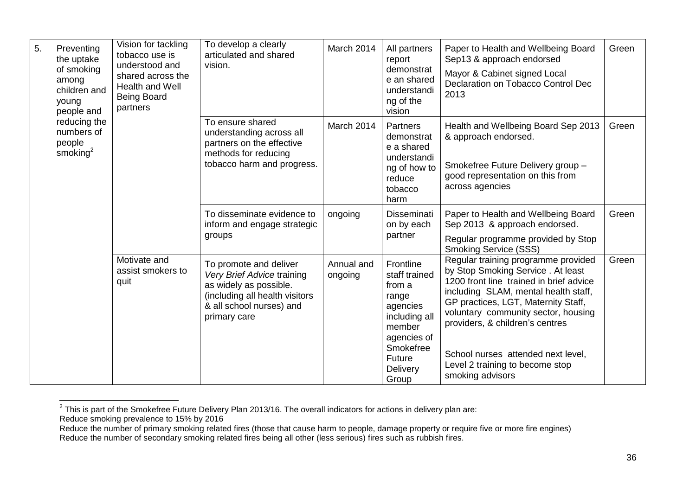| 5.<br>Preventing<br>the uptake<br>of smoking<br>among<br>children and<br>young<br>people and | Vision for tackling<br>tobacco use is<br>understood and<br>shared across the<br>Health and Well<br><b>Being Board</b><br>partners | To develop a clearly<br>articulated and shared<br>vision. | March 2014                                                                                                                                                   | All partners<br>report<br>demonstrat<br>e an shared<br>understandi<br>ng of the<br>vision | Paper to Health and Wellbeing Board<br>Sep13 & approach endorsed<br>Mayor & Cabinet signed Local<br>Declaration on Tobacco Control Dec<br>2013  | Green                                                                                                                                                                                                                                                                                                                                                                     |       |
|----------------------------------------------------------------------------------------------|-----------------------------------------------------------------------------------------------------------------------------------|-----------------------------------------------------------|--------------------------------------------------------------------------------------------------------------------------------------------------------------|-------------------------------------------------------------------------------------------|-------------------------------------------------------------------------------------------------------------------------------------------------|---------------------------------------------------------------------------------------------------------------------------------------------------------------------------------------------------------------------------------------------------------------------------------------------------------------------------------------------------------------------------|-------|
|                                                                                              | reducing the<br>numbers of<br>people<br>smoking <sup>2</sup>                                                                      |                                                           | To ensure shared<br>understanding across all<br>partners on the effective<br>methods for reducing<br>tobacco harm and progress.                              | March 2014                                                                                | Partners<br>demonstrat<br>e a shared<br>understandi<br>ng of how to<br>reduce<br>tobacco<br>harm                                                | Health and Wellbeing Board Sep 2013<br>& approach endorsed.<br>Smokefree Future Delivery group -<br>good representation on this from<br>across agencies                                                                                                                                                                                                                   | Green |
|                                                                                              |                                                                                                                                   |                                                           | To disseminate evidence to<br>inform and engage strategic<br>groups                                                                                          | ongoing                                                                                   | Disseminati<br>on by each<br>partner                                                                                                            | Paper to Health and Wellbeing Board<br>Sep 2013 & approach endorsed.                                                                                                                                                                                                                                                                                                      | Green |
|                                                                                              |                                                                                                                                   |                                                           |                                                                                                                                                              |                                                                                           |                                                                                                                                                 | Regular programme provided by Stop<br><b>Smoking Service (SSS)</b>                                                                                                                                                                                                                                                                                                        |       |
|                                                                                              |                                                                                                                                   | Motivate and<br>assist smokers to<br>quit                 | To promote and deliver<br>Very Brief Advice training<br>as widely as possible.<br>(including all health visitors<br>& all school nurses) and<br>primary care | Annual and<br>ongoing                                                                     | Frontline<br>staff trained<br>from a<br>range<br>agencies<br>including all<br>member<br>agencies of<br>Smokefree<br>Future<br>Delivery<br>Group | Regular training programme provided<br>by Stop Smoking Service. At least<br>1200 front line trained in brief advice<br>including SLAM, mental health staff,<br>GP practices, LGT, Maternity Staff,<br>voluntary community sector, housing<br>providers, & children's centres<br>School nurses attended next level,<br>Level 2 training to become stop<br>smoking advisors | Green |

 2 This is part of the Smokefree Future Delivery Plan 2013/16. The overall indicators for actions in delivery plan are:

Reduce smoking prevalence to 15% by 2016

Reduce the number of primary smoking related fires (those that cause harm to people, damage property or require five or more fire engines) Reduce the number of secondary smoking related fires being all other (less serious) fires such as rubbish fires.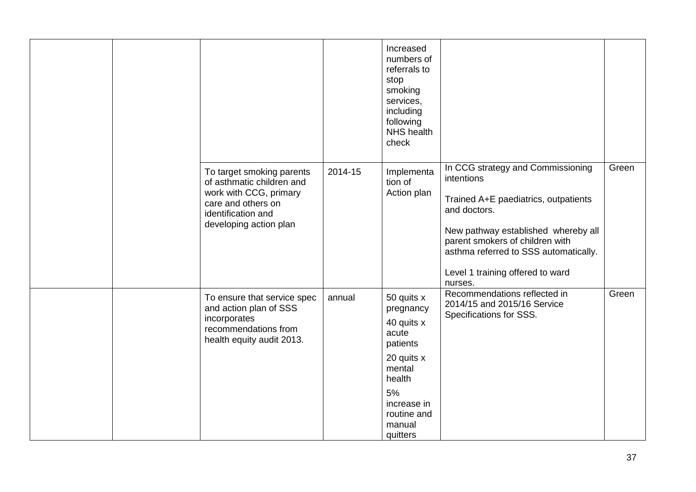|  |                                                                                                                                                        |         | Increased<br>numbers of<br>referrals to<br>stop<br>smoking<br>services,<br>including<br>following<br><b>NHS</b> health<br>check                        |                                                                                                                                                                                                                                                                           |       |
|--|--------------------------------------------------------------------------------------------------------------------------------------------------------|---------|--------------------------------------------------------------------------------------------------------------------------------------------------------|---------------------------------------------------------------------------------------------------------------------------------------------------------------------------------------------------------------------------------------------------------------------------|-------|
|  | To target smoking parents<br>of asthmatic children and<br>work with CCG, primary<br>care and others on<br>identification and<br>developing action plan | 2014-15 | Implementa<br>tion of<br>Action plan                                                                                                                   | In CCG strategy and Commissioning<br>intentions<br>Trained A+E paediatrics, outpatients<br>and doctors.<br>New pathway established whereby all<br>parent smokers of children with<br>asthma referred to SSS automatically.<br>Level 1 training offered to ward<br>nurses. | Green |
|  | To ensure that service spec<br>and action plan of SSS<br>incorporates<br>recommendations from<br>health equity audit 2013.                             | annual  | 50 quits x<br>pregnancy<br>40 quits x<br>acute<br>patients<br>20 quits x<br>mental<br>health<br>5%<br>increase in<br>routine and<br>manual<br>quitters | Recommendations reflected in<br>2014/15 and 2015/16 Service<br>Specifications for SSS.                                                                                                                                                                                    | Green |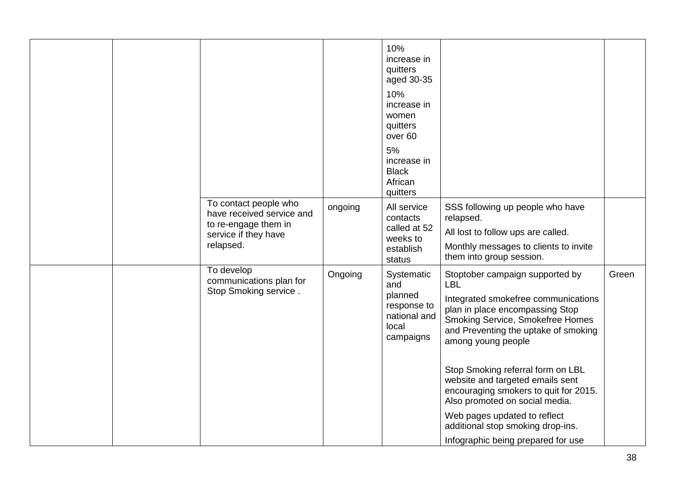|  |                                                                                                                 |         | 10%<br>increase in<br>quitters<br>aged 30-35<br>10%<br>increase in<br>women<br>quitters<br>over <sub>60</sub><br>5%<br>increase in<br><b>Black</b><br>African<br>quitters |                                                                                                                                                                                                                                                                                                    |       |
|--|-----------------------------------------------------------------------------------------------------------------|---------|---------------------------------------------------------------------------------------------------------------------------------------------------------------------------|----------------------------------------------------------------------------------------------------------------------------------------------------------------------------------------------------------------------------------------------------------------------------------------------------|-------|
|  | To contact people who<br>have received service and<br>to re-engage them in<br>service if they have<br>relapsed. | ongoing | All service<br>contacts<br>called at 52<br>weeks to<br>establish<br>status                                                                                                | SSS following up people who have<br>relapsed.<br>All lost to follow ups are called.<br>Monthly messages to clients to invite<br>them into group session.                                                                                                                                           |       |
|  | To develop<br>communications plan for<br>Stop Smoking service.                                                  | Ongoing | Systematic<br>and<br>planned<br>response to<br>national and<br>local<br>campaigns                                                                                         | Stoptober campaign supported by<br><b>LBL</b><br>Integrated smokefree communications<br>plan in place encompassing Stop<br>Smoking Service, Smokefree Homes<br>and Preventing the uptake of smoking<br>among young people<br>Stop Smoking referral form on LBL<br>website and targeted emails sent | Green |
|  |                                                                                                                 |         |                                                                                                                                                                           | encouraging smokers to quit for 2015.<br>Also promoted on social media.<br>Web pages updated to reflect<br>additional stop smoking drop-ins.                                                                                                                                                       |       |
|  |                                                                                                                 |         |                                                                                                                                                                           | Infographic being prepared for use                                                                                                                                                                                                                                                                 |       |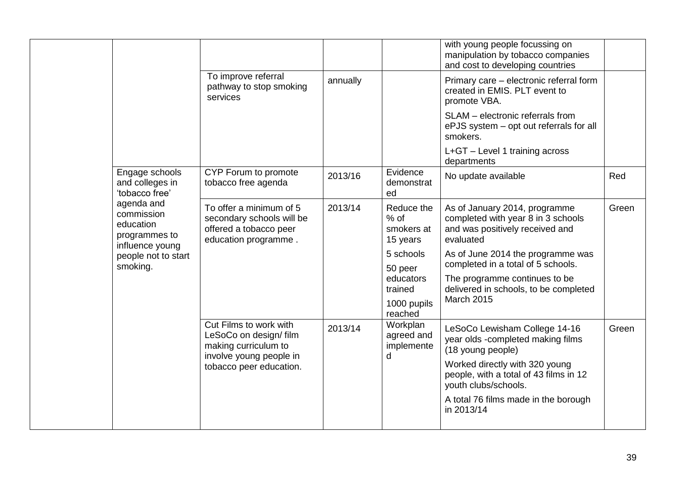|                                                                                                               |                                 |                                                                                                        |          |                                                | with young people focussing on<br>manipulation by tobacco companies<br>and cost to developing countries             |       |
|---------------------------------------------------------------------------------------------------------------|---------------------------------|--------------------------------------------------------------------------------------------------------|----------|------------------------------------------------|---------------------------------------------------------------------------------------------------------------------|-------|
|                                                                                                               |                                 | To improve referral<br>pathway to stop smoking<br>services                                             | annually |                                                | Primary care - electronic referral form<br>created in EMIS. PLT event to<br>promote VBA.                            |       |
| Engage schools<br>and colleges in<br>'tobacco free'<br>agenda and<br>commission<br>education<br>programmes to |                                 |                                                                                                        |          |                                                | SLAM - electronic referrals from<br>ePJS system - opt out referrals for all<br>smokers.                             |       |
|                                                                                                               |                                 |                                                                                                        |          |                                                | L+GT - Level 1 training across<br>departments                                                                       |       |
|                                                                                                               |                                 | CYP Forum to promote<br>tobacco free agenda                                                            | 2013/16  | Evidence<br>demonstrat<br>ed                   | No update available                                                                                                 | Red   |
|                                                                                                               | influence young                 | To offer a minimum of 5<br>secondary schools will be<br>offered a tobacco peer<br>education programme. | 2013/14  | Reduce the<br>$%$ of<br>smokers at<br>15 years | As of January 2014, programme<br>completed with year 8 in 3 schools<br>and was positively received and<br>evaluated | Green |
|                                                                                                               | people not to start<br>smoking. |                                                                                                        |          | 5 schools<br>50 peer                           | As of June 2014 the programme was<br>completed in a total of 5 schools.                                             |       |
|                                                                                                               |                                 |                                                                                                        |          | educators<br>trained                           | The programme continues to be<br>delivered in schools, to be completed                                              |       |
|                                                                                                               |                                 |                                                                                                        |          | 1000 pupils<br>reached                         | March 2015                                                                                                          |       |
|                                                                                                               |                                 | Cut Films to work with<br>LeSoCo on design/ film<br>making curriculum to<br>involve young people in    | 2013/14  | Workplan<br>agreed and<br>implemente<br>d      | LeSoCo Lewisham College 14-16<br>year olds -completed making films<br>(18 young people)                             | Green |
|                                                                                                               |                                 | tobacco peer education.                                                                                |          |                                                | Worked directly with 320 young<br>people, with a total of 43 films in 12<br>youth clubs/schools.                    |       |
|                                                                                                               |                                 |                                                                                                        |          |                                                | A total 76 films made in the borough<br>in 2013/14                                                                  |       |
|                                                                                                               |                                 |                                                                                                        |          |                                                |                                                                                                                     |       |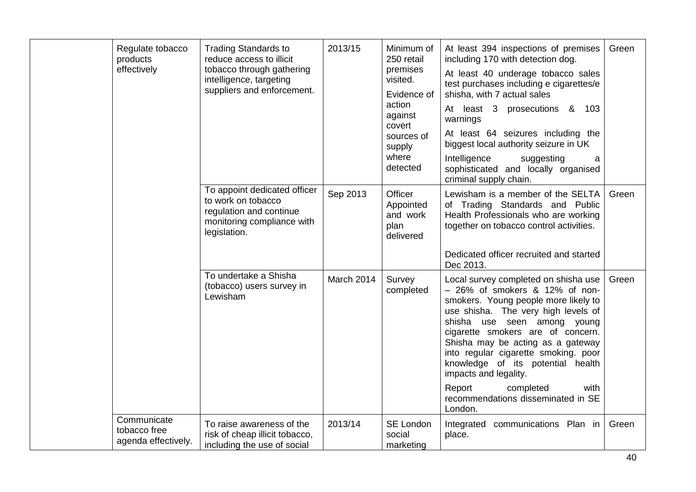| Regulate tobacco<br>products<br>effectively        | <b>Trading Standards to</b><br>reduce access to illicit<br>tobacco through gathering<br>intelligence, targeting<br>suppliers and enforcement. | 2013/15    | Minimum of<br>250 retail<br>premises<br>visited.<br>Evidence of<br>action<br>against<br>covert<br>sources of<br>supply<br>where<br>detected | At least 394 inspections of premises<br>including 170 with detection dog.<br>At least 40 underage tobacco sales<br>test purchases including e cigarettes/e<br>shisha, with 7 actual sales<br>At least 3 prosecutions & 103<br>warnings<br>At least 64 seizures including the<br>biggest local authority seizure in UK<br>Intelligence<br>suggesting<br>$\mathbf a$<br>sophisticated and locally organised<br>criminal supply chain.            | Green |
|----------------------------------------------------|-----------------------------------------------------------------------------------------------------------------------------------------------|------------|---------------------------------------------------------------------------------------------------------------------------------------------|------------------------------------------------------------------------------------------------------------------------------------------------------------------------------------------------------------------------------------------------------------------------------------------------------------------------------------------------------------------------------------------------------------------------------------------------|-------|
|                                                    | To appoint dedicated officer<br>to work on tobacco<br>regulation and continue<br>monitoring compliance with<br>legislation.                   | Sep 2013   | Officer<br>Appointed<br>and work<br>plan<br>delivered                                                                                       | Lewisham is a member of the SELTA<br>of Trading Standards and Public<br>Health Professionals who are working<br>together on tobacco control activities.                                                                                                                                                                                                                                                                                        | Green |
|                                                    |                                                                                                                                               |            |                                                                                                                                             | Dedicated officer recruited and started<br>Dec 2013.                                                                                                                                                                                                                                                                                                                                                                                           |       |
|                                                    | To undertake a Shisha<br>(tobacco) users survey in<br>Lewisham                                                                                | March 2014 | Survey<br>completed                                                                                                                         | Local survey completed on shisha use<br>$-26\%$ of smokers $\&$ 12% of non-<br>smokers. Young people more likely to<br>use shisha. The very high levels of<br>shisha use seen among young<br>cigarette smokers are of concern.<br>Shisha may be acting as a gateway<br>into regular cigarette smoking. poor<br>knowledge of its potential health<br>impacts and legality.<br>Report<br>completed<br>with<br>recommendations disseminated in SE | Green |
|                                                    |                                                                                                                                               |            |                                                                                                                                             | London.                                                                                                                                                                                                                                                                                                                                                                                                                                        |       |
| Communicate<br>tobacco free<br>agenda effectively. | To raise awareness of the<br>risk of cheap illicit tobacco,<br>including the use of social                                                    | 2013/14    | SE London<br>social<br>marketing                                                                                                            | Integrated communications Plan in<br>place.                                                                                                                                                                                                                                                                                                                                                                                                    | Green |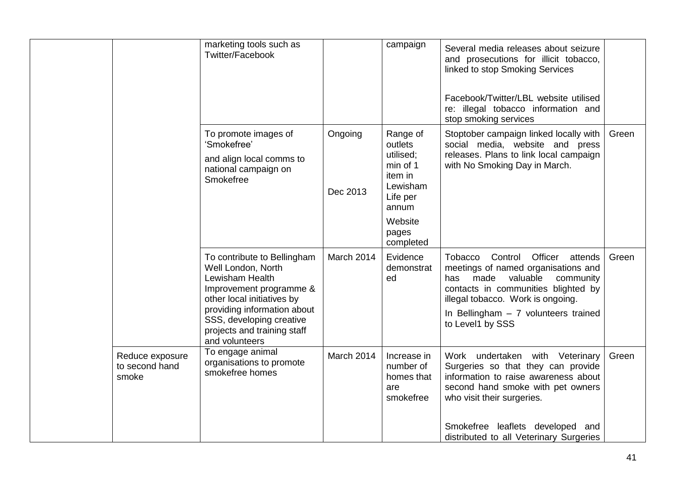|                                            | marketing tools such as<br>Twitter/Facebook                                                                                                                                                                                               |                     | campaign                                                                                                                  | Several media releases about seizure<br>and prosecutions for illicit tobacco,<br>linked to stop Smoking Services<br>Facebook/Twitter/LBL website utilised<br>re: illegal tobacco information and<br>stop smoking services                                       |       |
|--------------------------------------------|-------------------------------------------------------------------------------------------------------------------------------------------------------------------------------------------------------------------------------------------|---------------------|---------------------------------------------------------------------------------------------------------------------------|-----------------------------------------------------------------------------------------------------------------------------------------------------------------------------------------------------------------------------------------------------------------|-------|
|                                            | To promote images of<br>'Smokefree'<br>and align local comms to<br>national campaign on<br>Smokefree                                                                                                                                      | Ongoing<br>Dec 2013 | Range of<br>outlets<br>utilised;<br>min of 1<br>item in<br>Lewisham<br>Life per<br>annum<br>Website<br>pages<br>completed | Stoptober campaign linked locally with<br>social media, website and press<br>releases. Plans to link local campaign<br>with No Smoking Day in March.                                                                                                            | Green |
|                                            | To contribute to Bellingham<br>Well London, North<br>Lewisham Health<br>Improvement programme &<br>other local initiatives by<br>providing information about<br>SSS, developing creative<br>projects and training staff<br>and volunteers | March 2014          | Evidence<br>demonstrat<br>ed                                                                                              | Control Officer attends<br>Tobacco<br>meetings of named organisations and<br>made<br>valuable<br>community<br>has<br>contacts in communities blighted by<br>illegal tobacco. Work is ongoing.<br>In Bellingham $-7$ volunteers trained<br>to Level1 by SSS      | Green |
| Reduce exposure<br>to second hand<br>smoke | To engage animal<br>organisations to promote<br>smokefree homes                                                                                                                                                                           | March 2014          | Increase in<br>number of<br>homes that<br>are<br>smokefree                                                                | Work undertaken with Veterinary<br>Surgeries so that they can provide<br>information to raise awareness about<br>second hand smoke with pet owners<br>who visit their surgeries.<br>Smokefree leaflets developed and<br>distributed to all Veterinary Surgeries | Green |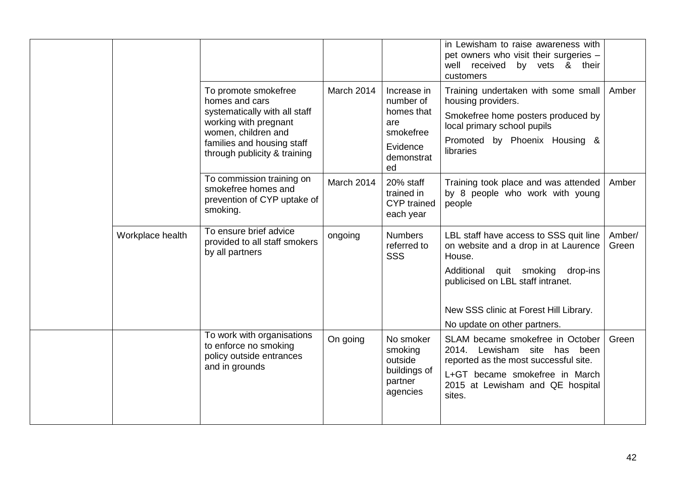|                  |                                                                                                                                                                                       |            |                                                                                            | in Lewisham to raise awareness with<br>pet owners who visit their surgeries -<br>well received by vets & their<br>customers                                                               |                 |
|------------------|---------------------------------------------------------------------------------------------------------------------------------------------------------------------------------------|------------|--------------------------------------------------------------------------------------------|-------------------------------------------------------------------------------------------------------------------------------------------------------------------------------------------|-----------------|
|                  | To promote smokefree<br>homes and cars<br>systematically with all staff<br>working with pregnant<br>women, children and<br>families and housing staff<br>through publicity & training | March 2014 | Increase in<br>number of<br>homes that<br>are<br>smokefree<br>Evidence<br>demonstrat<br>ed | Training undertaken with some small<br>housing providers.<br>Smokefree home posters produced by<br>local primary school pupils<br>Promoted by Phoenix Housing &<br>libraries              | Amber           |
|                  | To commission training on<br>smokefree homes and<br>prevention of CYP uptake of<br>smoking.                                                                                           | March 2014 | 20% staff<br>trained in<br><b>CYP</b> trained<br>each year                                 | Training took place and was attended<br>by 8 people who work with young<br>people                                                                                                         | Amber           |
| Workplace health | To ensure brief advice<br>provided to all staff smokers<br>by all partners                                                                                                            | ongoing    | <b>Numbers</b><br>referred to<br><b>SSS</b>                                                | LBL staff have access to SSS quit line<br>on website and a drop in at Laurence<br>House.                                                                                                  | Amber/<br>Green |
|                  |                                                                                                                                                                                       |            |                                                                                            | quit smoking<br>Additional<br>drop-ins<br>publicised on LBL staff intranet.                                                                                                               |                 |
|                  |                                                                                                                                                                                       |            |                                                                                            | New SSS clinic at Forest Hill Library.<br>No update on other partners.                                                                                                                    |                 |
|                  | To work with organisations<br>to enforce no smoking<br>policy outside entrances<br>and in grounds                                                                                     | On going   | No smoker<br>smoking<br>outside<br>buildings of<br>partner<br>agencies                     | SLAM became smokefree in October<br>2014. Lewisham site has been<br>reported as the most successful site.<br>L+GT became smokefree in March<br>2015 at Lewisham and QE hospital<br>sites. | Green           |
|                  |                                                                                                                                                                                       |            |                                                                                            |                                                                                                                                                                                           |                 |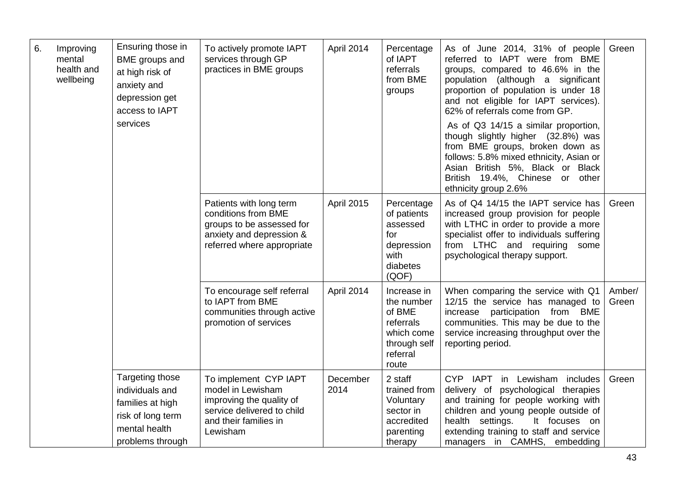| 6.<br>Improving<br>mental<br>BME groups and<br>health and<br>at high risk of<br>wellbeing<br>anxiety and<br>depression get<br>access to IAPT<br>services | To actively promote IAPT<br>services through GP<br>practices in BME groups<br>Patients with long term            | April 2014<br><b>April 2015</b>                                                                                                           | Percentage<br>of IAPT<br>referrals<br>from BME<br>groups<br>Percentage    | As of June 2014, 31% of people<br>referred to IAPT were from BME<br>groups, compared to 46.6% in the<br>(although a significant<br>population<br>proportion of population is under 18<br>and not eligible for IAPT services).<br>62% of referrals come from GP.<br>As of Q3 14/15 a similar proportion,<br>though slightly higher (32.8%) was<br>from BME groups, broken down as<br>follows: 5.8% mixed ethnicity, Asian or<br>Asian British 5%, Black or Black<br>British 19.4%, Chinese or<br>other<br>ethnicity group 2.6%<br>As of Q4 14/15 the IAPT service has | Green<br>Green                                                                                                                                                                                                                                                                |                 |
|----------------------------------------------------------------------------------------------------------------------------------------------------------|------------------------------------------------------------------------------------------------------------------|-------------------------------------------------------------------------------------------------------------------------------------------|---------------------------------------------------------------------------|----------------------------------------------------------------------------------------------------------------------------------------------------------------------------------------------------------------------------------------------------------------------------------------------------------------------------------------------------------------------------------------------------------------------------------------------------------------------------------------------------------------------------------------------------------------------|-------------------------------------------------------------------------------------------------------------------------------------------------------------------------------------------------------------------------------------------------------------------------------|-----------------|
|                                                                                                                                                          | conditions from BME<br>groups to be assessed for<br>anxiety and depression &<br>referred where appropriate       |                                                                                                                                           | of patients<br>assessed<br>for<br>depression<br>with<br>diabetes<br>(QOF) | increased group provision for people<br>with LTHC in order to provide a more<br>specialist offer to individuals suffering<br>from LTHC and requiring some<br>psychological therapy support.                                                                                                                                                                                                                                                                                                                                                                          |                                                                                                                                                                                                                                                                               |                 |
|                                                                                                                                                          |                                                                                                                  | To encourage self referral<br>to IAPT from BME<br>communities through active<br>promotion of services                                     | April 2014                                                                | Increase in<br>the number<br>of BME<br>referrals<br>which come<br>through self<br>referral<br>route                                                                                                                                                                                                                                                                                                                                                                                                                                                                  | When comparing the service with Q1<br>12/15 the service has managed to<br>increase<br>participation from BME<br>communities. This may be due to the<br>service increasing throughput over the<br>reporting period.                                                            | Amber/<br>Green |
|                                                                                                                                                          | Targeting those<br>individuals and<br>families at high<br>risk of long term<br>mental health<br>problems through | To implement CYP IAPT<br>model in Lewisham<br>improving the quality of<br>service delivered to child<br>and their families in<br>Lewisham | December<br>2014                                                          | 2 staff<br>trained from<br>Voluntary<br>sector in<br>accredited<br>parenting<br>therapy                                                                                                                                                                                                                                                                                                                                                                                                                                                                              | CYP IAPT<br>in Lewisham<br>includes<br>delivery of psychological therapies<br>and training for people working with<br>children and young people outside of<br>health settings.<br>It focuses on<br>extending training to staff and service<br>managers in CAMHS,<br>embedding | Green           |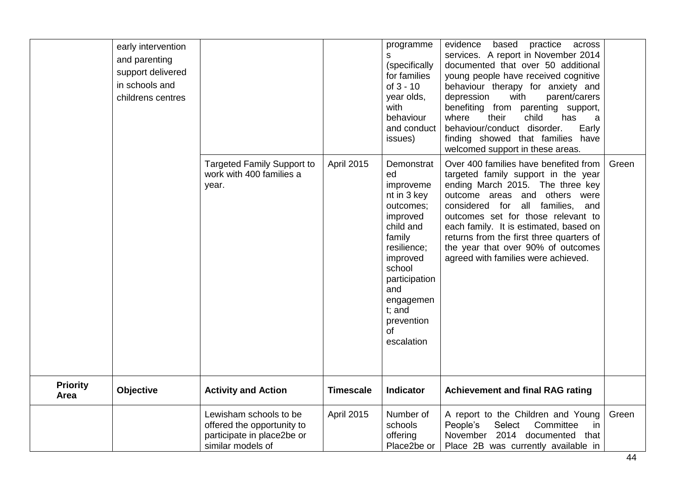| early intervention<br>and parenting<br>support delivered<br>in schools and<br>childrens centres | <b>Targeted Family Support to</b><br>work with 400 families a<br>year.                                  | <b>April 2015</b> | programme<br>S<br>(specifically<br>for families<br>of $3 - 10$<br>year olds,<br>with<br>behaviour<br>and conduct<br>issues)<br>Demonstrat<br>ed<br>improveme<br>nt in 3 key<br>outcomes;<br>improved<br>child and<br>family<br>resilience;<br>improved<br>school<br>participation<br>and<br>engagemen<br>t; and<br>prevention<br>of<br>escalation | evidence<br>based<br>practice<br>across<br>services. A report in November 2014<br>documented that over 50 additional<br>young people have received cognitive<br>behaviour therapy for anxiety and<br>with<br>depression<br>parent/carers<br>benefiting from parenting support,<br>child<br>where<br>their<br>has<br>a<br>behaviour/conduct disorder.<br>Early<br>finding showed that families have<br>welcomed support in these areas.<br>Over 400 families have benefited from<br>targeted family support in the year<br>ending March 2015. The three key<br>outcome areas and others were<br>considered for all families,<br>and<br>outcomes set for those relevant to<br>each family. It is estimated, based on<br>returns from the first three quarters of<br>the year that over 90% of outcomes<br>agreed with families were achieved. | Green |
|-------------------------------------------------------------------------------------------------|---------------------------------------------------------------------------------------------------------|-------------------|---------------------------------------------------------------------------------------------------------------------------------------------------------------------------------------------------------------------------------------------------------------------------------------------------------------------------------------------------|---------------------------------------------------------------------------------------------------------------------------------------------------------------------------------------------------------------------------------------------------------------------------------------------------------------------------------------------------------------------------------------------------------------------------------------------------------------------------------------------------------------------------------------------------------------------------------------------------------------------------------------------------------------------------------------------------------------------------------------------------------------------------------------------------------------------------------------------|-------|
| <b>Priority</b><br><b>Objective</b><br>Area                                                     | <b>Activity and Action</b>                                                                              | <b>Timescale</b>  | Indicator                                                                                                                                                                                                                                                                                                                                         | <b>Achievement and final RAG rating</b>                                                                                                                                                                                                                                                                                                                                                                                                                                                                                                                                                                                                                                                                                                                                                                                                     |       |
|                                                                                                 | Lewisham schools to be<br>offered the opportunity to<br>participate in place2be or<br>similar models of | <b>April 2015</b> | Number of<br>schools<br>offering<br>Place2be or                                                                                                                                                                                                                                                                                                   | A report to the Children and Young<br>People's<br>Select<br>Committee<br>in<br>November 2014 documented<br>that<br>Place 2B was currently available in                                                                                                                                                                                                                                                                                                                                                                                                                                                                                                                                                                                                                                                                                      | Green |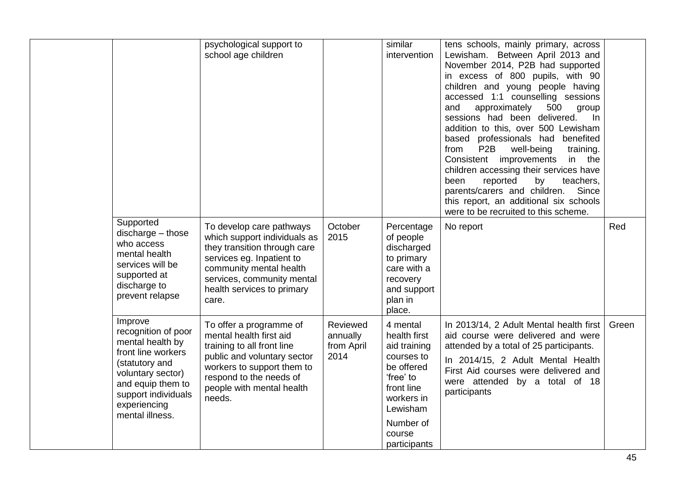|                                                                                                                                                                                                | psychological support to<br>school age children                                                                                                                                                                       |                                            | similar<br>intervention                                                                                                                                          | tens schools, mainly primary, across<br>Lewisham. Between April 2013 and<br>November 2014, P2B had supported<br>in excess of 800 pupils, with 90<br>children and young people having<br>accessed 1:1 counselling sessions<br>approximately<br>500<br>and<br>group<br>sessions had been delivered.<br>In<br>addition to this, over 500 Lewisham<br>based professionals had benefited<br>P <sub>2</sub> B<br>from<br>well-being<br>training.<br>Consistent improvements<br>in the<br>children accessing their services have<br>been<br>reported<br>by<br>teachers,<br>parents/carers and children.<br>Since<br>this report, an additional six schools<br>were to be recruited to this scheme. |       |
|------------------------------------------------------------------------------------------------------------------------------------------------------------------------------------------------|-----------------------------------------------------------------------------------------------------------------------------------------------------------------------------------------------------------------------|--------------------------------------------|------------------------------------------------------------------------------------------------------------------------------------------------------------------|---------------------------------------------------------------------------------------------------------------------------------------------------------------------------------------------------------------------------------------------------------------------------------------------------------------------------------------------------------------------------------------------------------------------------------------------------------------------------------------------------------------------------------------------------------------------------------------------------------------------------------------------------------------------------------------------|-------|
| Supported<br>$discharge - those$<br>who access<br>mental health<br>services will be<br>supported at<br>discharge to<br>prevent relapse                                                         | To develop care pathways<br>which support individuals as<br>they transition through care<br>services eg. Inpatient to<br>community mental health<br>services, community mental<br>health services to primary<br>care. | October<br>2015                            | Percentage<br>of people<br>discharged<br>to primary<br>care with a<br>recovery<br>and support<br>plan in<br>place.                                               | No report                                                                                                                                                                                                                                                                                                                                                                                                                                                                                                                                                                                                                                                                                   | Red   |
| Improve<br>recognition of poor<br>mental health by<br>front line workers<br>(statutory and<br>voluntary sector)<br>and equip them to<br>support individuals<br>experiencing<br>mental illness. | To offer a programme of<br>mental health first aid<br>training to all front line<br>public and voluntary sector<br>workers to support them to<br>respond to the needs of<br>people with mental health<br>needs.       | Reviewed<br>annually<br>from April<br>2014 | 4 mental<br>health first<br>aid training<br>courses to<br>be offered<br>'free' to<br>front line<br>workers in<br>Lewisham<br>Number of<br>course<br>participants | In 2013/14, 2 Adult Mental health first<br>aid course were delivered and were<br>attended by a total of 25 participants.<br>In 2014/15, 2 Adult Mental Health<br>First Aid courses were delivered and<br>were attended by a total of 18<br>participants                                                                                                                                                                                                                                                                                                                                                                                                                                     | Green |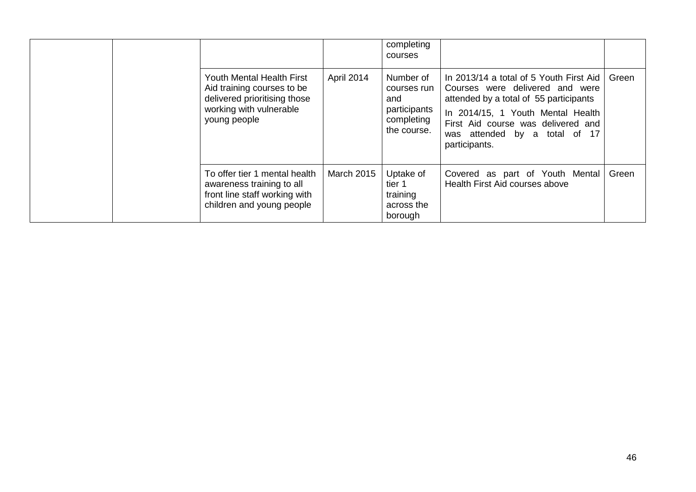|  |                                                                                                                                           |                   | completing<br>courses                                                        |                                                                                                                                                                                                                                                   |       |
|--|-------------------------------------------------------------------------------------------------------------------------------------------|-------------------|------------------------------------------------------------------------------|---------------------------------------------------------------------------------------------------------------------------------------------------------------------------------------------------------------------------------------------------|-------|
|  | <b>Youth Mental Health First</b><br>Aid training courses to be<br>delivered prioritising those<br>working with vulnerable<br>young people | April 2014        | Number of<br>courses run<br>and<br>participants<br>completing<br>the course. | In 2013/14 a total of 5 Youth First Aid<br>Courses were delivered and were<br>attended by a total of 55 participants<br>In 2014/15, 1 Youth Mental Health<br>First Aid course was delivered and<br>was attended by a total of 17<br>participants. | Green |
|  | To offer tier 1 mental health<br>awareness training to all<br>front line staff working with<br>children and young people                  | <b>March 2015</b> | Uptake of<br>tier 1<br>training<br>across the<br>borough                     | Covered as part of Youth Mental<br>Health First Aid courses above                                                                                                                                                                                 | Green |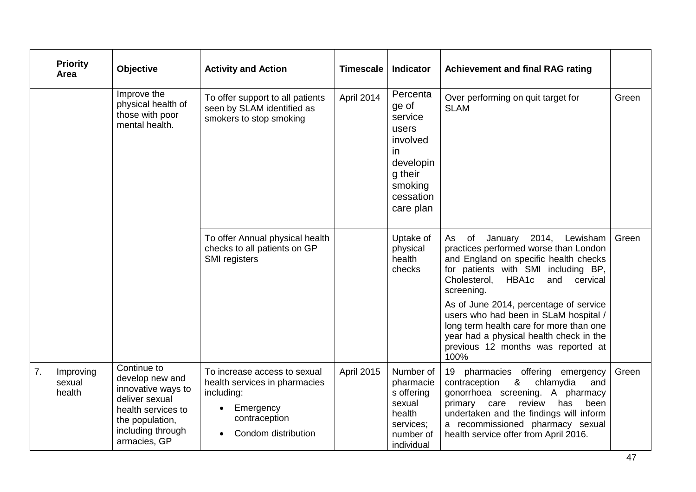|    | <b>Priority</b><br>Area       | Objective                                                                                                                                            | <b>Activity and Action</b>                                                                                                                    | <b>Timescale</b> | <b>Indicator</b>                                                                                                      | <b>Achievement and final RAG rating</b>                                                                                                                                                                                                                                                                   |       |
|----|-------------------------------|------------------------------------------------------------------------------------------------------------------------------------------------------|-----------------------------------------------------------------------------------------------------------------------------------------------|------------------|-----------------------------------------------------------------------------------------------------------------------|-----------------------------------------------------------------------------------------------------------------------------------------------------------------------------------------------------------------------------------------------------------------------------------------------------------|-------|
|    |                               | Improve the<br>physical health of<br>those with poor<br>mental health.                                                                               | To offer support to all patients<br>seen by SLAM identified as<br>smokers to stop smoking                                                     | April 2014       | Percenta<br>ge of<br>service<br>users<br>involved<br>in.<br>developin<br>g their<br>smoking<br>cessation<br>care plan | Over performing on quit target for<br><b>SLAM</b>                                                                                                                                                                                                                                                         | Green |
|    |                               |                                                                                                                                                      | To offer Annual physical health<br>checks to all patients on GP<br>SMI registers                                                              |                  | Uptake of<br>physical<br>health<br>checks                                                                             | As of<br>2014,<br>Lewisham<br>January<br>practices performed worse than London<br>and England on specific health checks<br>for patients with SMI including BP,<br>HBA1c<br>Cholesterol,<br>and cervical<br>screening.                                                                                     | Green |
|    |                               |                                                                                                                                                      |                                                                                                                                               |                  |                                                                                                                       | As of June 2014, percentage of service<br>users who had been in SLaM hospital /<br>long term health care for more than one<br>year had a physical health check in the<br>previous 12 months was reported at<br>100%                                                                                       |       |
| 7. | Improving<br>sexual<br>health | Continue to<br>develop new and<br>innovative ways to<br>deliver sexual<br>health services to<br>the population,<br>including through<br>armacies, GP | To increase access to sexual<br>health services in pharmacies<br>including:<br>Emergency<br>$\bullet$<br>contraception<br>Condom distribution | April 2015       | Number of<br>pharmacie<br>s offering<br>sexual<br>health<br>services;<br>number of<br>individual                      | pharmacies offering emergency<br>19<br>$\boldsymbol{\alpha}$<br>contraception<br>chlamydia<br>and<br>gonorrhoea screening. A pharmacy<br>primary<br>review<br>care<br>has<br>been<br>undertaken and the findings will inform<br>a recommissioned pharmacy sexual<br>health service offer from April 2016. | Green |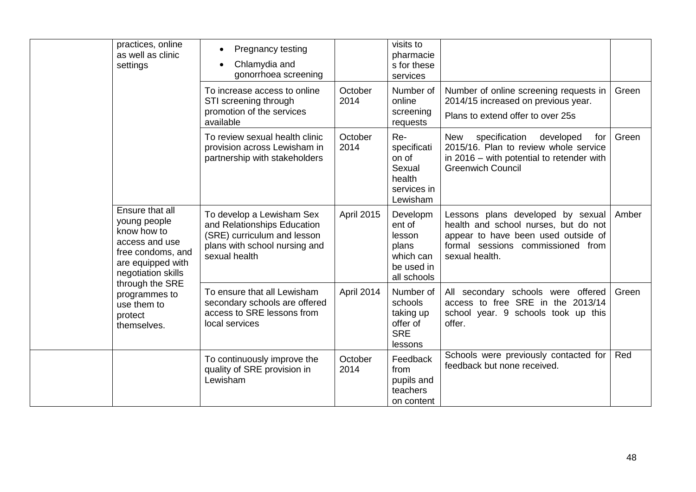| practices, online<br>as well as clinic<br>settings                                                                               | Pregnancy testing<br>$\bullet$<br>Chlamydia and<br>gonorrhoea screening                                                                   |                   | visits to<br>pharmacie<br>s for these<br>services                               |                                                                                                                                                                         |       |
|----------------------------------------------------------------------------------------------------------------------------------|-------------------------------------------------------------------------------------------------------------------------------------------|-------------------|---------------------------------------------------------------------------------|-------------------------------------------------------------------------------------------------------------------------------------------------------------------------|-------|
|                                                                                                                                  | To increase access to online<br>STI screening through<br>promotion of the services<br>available                                           | October<br>2014   | Number of<br>online<br>screening<br>requests                                    | Number of online screening requests in<br>2014/15 increased on previous year.<br>Plans to extend offer to over 25s                                                      | Green |
|                                                                                                                                  | To review sexual health clinic<br>provision across Lewisham in<br>partnership with stakeholders                                           | October<br>2014   | Re-<br>specificati<br>on of<br>Sexual<br>health<br>services in<br>Lewisham      | specification<br>developed<br>for<br>New<br>2015/16. Plan to review whole service<br>in 2016 – with potential to retender with<br><b>Greenwich Council</b>              | Green |
| Ensure that all<br>young people<br>know how to<br>access and use<br>free condoms, and<br>are equipped with<br>negotiation skills | To develop a Lewisham Sex<br>and Relationships Education<br>(SRE) curriculum and lesson<br>plans with school nursing and<br>sexual health | <b>April 2015</b> | Developm<br>ent of<br>lesson<br>plans<br>which can<br>be used in<br>all schools | Lessons plans developed by sexual<br>health and school nurses, but do not<br>appear to have been used outside of<br>formal sessions commissioned from<br>sexual health. | Amber |
| through the SRE<br>programmes to<br>use them to<br>protect<br>themselves.                                                        | To ensure that all Lewisham<br>secondary schools are offered<br>access to SRE lessons from<br>local services                              | April 2014        | Number of<br>schools<br>taking up<br>offer of<br><b>SRE</b><br>lessons          | All secondary schools were offered<br>access to free SRE in the 2013/14<br>school year. 9 schools took up this<br>offer.                                                | Green |
|                                                                                                                                  | To continuously improve the<br>quality of SRE provision in<br>Lewisham                                                                    | October<br>2014   | Feedback<br>from<br>pupils and<br>teachers<br>on content                        | Schools were previously contacted for<br>feedback but none received.                                                                                                    | Red   |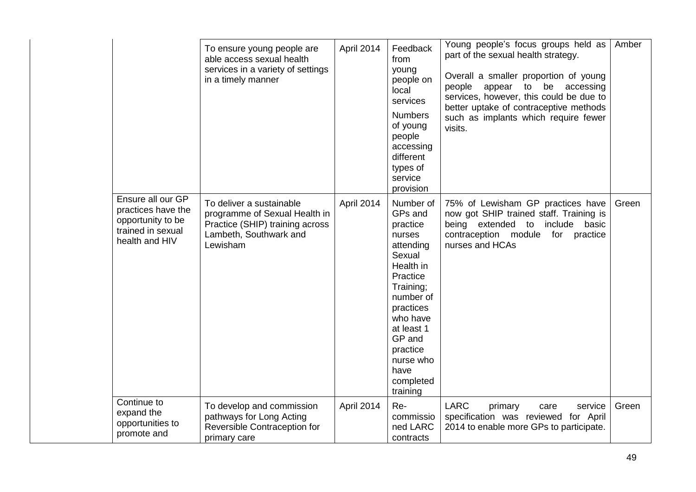|                                                                                                     | To ensure young people are<br>able access sexual health<br>services in a variety of settings<br>in a timely manner                 | April 2014 | Feedback<br>from<br>young<br>people on<br>local<br>services<br><b>Numbers</b><br>of young<br>people<br>accessing<br>different<br>types of<br>service<br>provision                                                               | Young people's focus groups held as<br>part of the sexual health strategy.<br>Overall a smaller proportion of young<br>to be<br>people<br>appear<br>accessing<br>services, however, this could be due to<br>better uptake of contraceptive methods<br>such as implants which require fewer<br>visits. | Amber |
|-----------------------------------------------------------------------------------------------------|------------------------------------------------------------------------------------------------------------------------------------|------------|---------------------------------------------------------------------------------------------------------------------------------------------------------------------------------------------------------------------------------|-------------------------------------------------------------------------------------------------------------------------------------------------------------------------------------------------------------------------------------------------------------------------------------------------------|-------|
| Ensure all our GP<br>practices have the<br>opportunity to be<br>trained in sexual<br>health and HIV | To deliver a sustainable<br>programme of Sexual Health in<br>Practice (SHIP) training across<br>Lambeth, Southwark and<br>Lewisham | April 2014 | Number of<br>GPs and<br>practice<br>nurses<br>attending<br>Sexual<br>Health in<br>Practice<br>Training;<br>number of<br>practices<br>who have<br>at least 1<br>GP and<br>practice<br>nurse who<br>have<br>completed<br>training | 75% of Lewisham GP practices have<br>now got SHIP trained staff. Training is<br>being extended to<br>include<br>basic<br>contraception module<br>for<br>practice<br>nurses and HCAs                                                                                                                   | Green |
| Continue to<br>expand the<br>opportunities to<br>promote and                                        | To develop and commission<br>pathways for Long Acting<br>Reversible Contraception for<br>primary care                              | April 2014 | Re-<br>commissio<br>ned LARC<br>contracts                                                                                                                                                                                       | <b>LARC</b><br>primary<br>service<br>care<br>specification was reviewed for April<br>2014 to enable more GPs to participate.                                                                                                                                                                          | Green |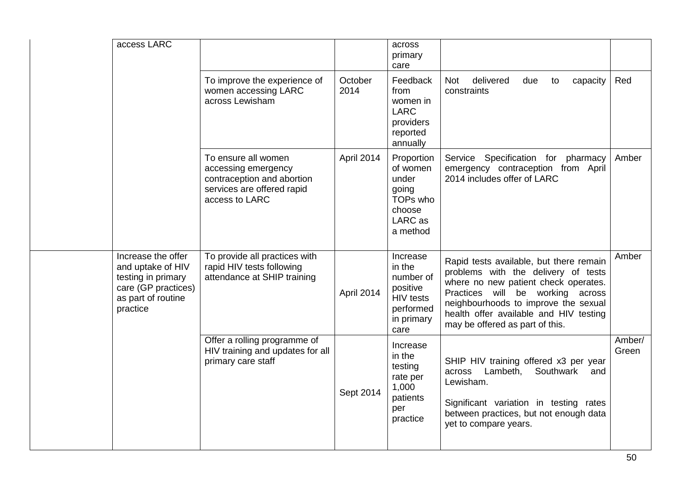| access LARC                                                                                                            |                                                                                                                          |                 | across<br>primary<br>care                                                                          |                                                                                                                                                                                                                                                                                 |                 |
|------------------------------------------------------------------------------------------------------------------------|--------------------------------------------------------------------------------------------------------------------------|-----------------|----------------------------------------------------------------------------------------------------|---------------------------------------------------------------------------------------------------------------------------------------------------------------------------------------------------------------------------------------------------------------------------------|-----------------|
|                                                                                                                        | To improve the experience of<br>women accessing LARC<br>across Lewisham                                                  | October<br>2014 | Feedback<br>from<br>women in<br><b>LARC</b><br>providers<br>reported<br>annually                   | <b>Not</b><br>delivered<br>due<br>capacity<br>to<br>constraints                                                                                                                                                                                                                 | Red             |
|                                                                                                                        | To ensure all women<br>accessing emergency<br>contraception and abortion<br>services are offered rapid<br>access to LARC | April 2014      | Proportion<br>of women<br>under<br>going<br>TOPs who<br>choose<br>LARC as<br>a method              | Specification for pharmacy<br>Service<br>emergency contraception from April<br>2014 includes offer of LARC                                                                                                                                                                      | Amber           |
| Increase the offer<br>and uptake of HIV<br>testing in primary<br>care (GP practices)<br>as part of routine<br>practice | To provide all practices with<br>rapid HIV tests following<br>attendance at SHIP training                                | April 2014      | Increase<br>in the<br>number of<br>positive<br><b>HIV</b> tests<br>performed<br>in primary<br>care | Rapid tests available, but there remain<br>problems with the delivery of tests<br>where no new patient check operates.<br>Practices will be working across<br>neighbourhoods to improve the sexual<br>health offer available and HIV testing<br>may be offered as part of this. | Amber           |
|                                                                                                                        | Offer a rolling programme of<br>HIV training and updates for all<br>primary care staff                                   | Sept 2014       | Increase<br>in the<br>testing<br>rate per<br>1,000<br>patients<br>per<br>practice                  | SHIP HIV training offered x3 per year<br>Lambeth,<br>Southwark<br>across<br>and<br>Lewisham.<br>Significant variation in testing rates<br>between practices, but not enough data<br>yet to compare years.                                                                       | Amber/<br>Green |
|                                                                                                                        |                                                                                                                          |                 |                                                                                                    |                                                                                                                                                                                                                                                                                 |                 |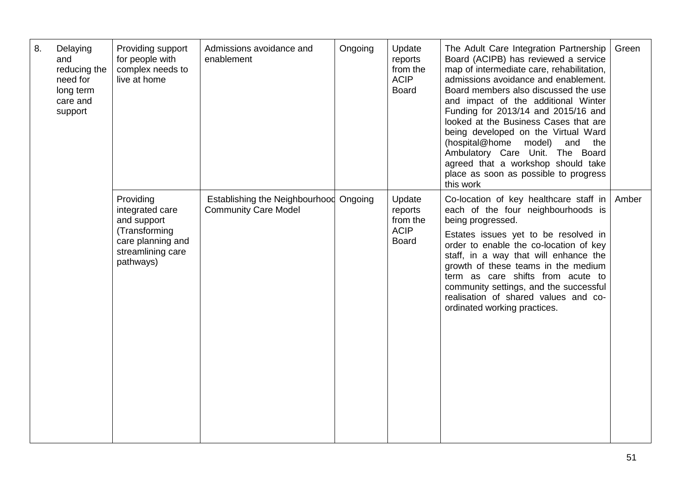| 8. | Delaying<br>and<br>reducing the<br>need for<br>long term<br>care and<br>support | Providing support<br>for people with<br>complex needs to<br>live at home                                            | Admissions avoidance and<br>enablement                                | Ongoing | Update<br>reports<br>from the<br><b>ACIP</b><br><b>Board</b> | The Adult Care Integration Partnership<br>Board (ACIPB) has reviewed a service<br>map of intermediate care, rehabilitation,<br>admissions avoidance and enablement.<br>Board members also discussed the use<br>and impact of the additional Winter<br>Funding for 2013/14 and 2015/16 and<br>looked at the Business Cases that are<br>being developed on the Virtual Ward<br>(hospital@home<br>model)<br>and the<br>Ambulatory Care Unit. The Board<br>agreed that a workshop should take<br>place as soon as possible to progress<br>this work | Green |
|----|---------------------------------------------------------------------------------|---------------------------------------------------------------------------------------------------------------------|-----------------------------------------------------------------------|---------|--------------------------------------------------------------|-------------------------------------------------------------------------------------------------------------------------------------------------------------------------------------------------------------------------------------------------------------------------------------------------------------------------------------------------------------------------------------------------------------------------------------------------------------------------------------------------------------------------------------------------|-------|
|    |                                                                                 | Providing<br>integrated care<br>and support<br>(Transforming<br>care planning and<br>streamlining care<br>pathways) | Establishing the Neighbourhood Ongoing<br><b>Community Care Model</b> |         | Update<br>reports<br>from the<br><b>ACIP</b><br><b>Board</b> | Co-location of key healthcare staff in<br>each of the four neighbourhoods is<br>being progressed.<br>Estates issues yet to be resolved in<br>order to enable the co-location of key<br>staff, in a way that will enhance the<br>growth of these teams in the medium<br>term as care shifts from acute to<br>community settings, and the successful<br>realisation of shared values and co-<br>ordinated working practices.                                                                                                                      | Amber |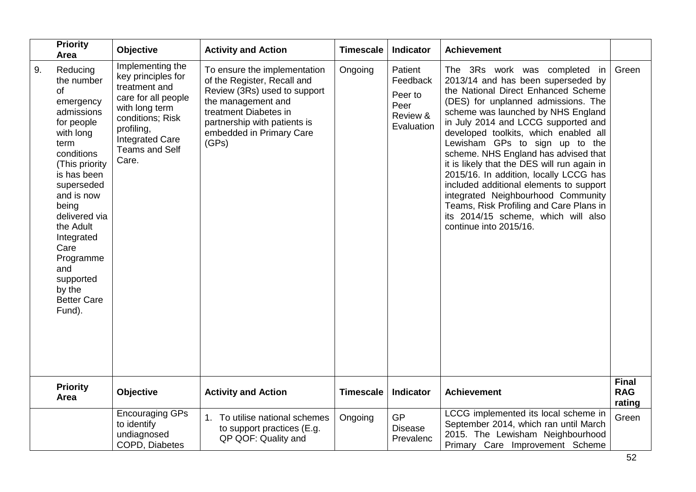|    | <b>Priority</b><br>Area                                                                                                                                                                                                                                                                                       | <b>Objective</b>                                                                                                                                                                               | <b>Activity and Action</b>                                                                                                                                                                                      | <b>Timescale</b> | Indicator                                                        | <b>Achievement</b>                                                                                                                                                                                                                                                                                                                                                                                                                                                                                                                                                                                                                      |                                      |
|----|---------------------------------------------------------------------------------------------------------------------------------------------------------------------------------------------------------------------------------------------------------------------------------------------------------------|------------------------------------------------------------------------------------------------------------------------------------------------------------------------------------------------|-----------------------------------------------------------------------------------------------------------------------------------------------------------------------------------------------------------------|------------------|------------------------------------------------------------------|-----------------------------------------------------------------------------------------------------------------------------------------------------------------------------------------------------------------------------------------------------------------------------------------------------------------------------------------------------------------------------------------------------------------------------------------------------------------------------------------------------------------------------------------------------------------------------------------------------------------------------------------|--------------------------------------|
| 9. | Reducing<br>the number<br>of<br>emergency<br>admissions<br>for people<br>with long<br>term<br>conditions<br>(This priority<br>is has been<br>superseded<br>and is now<br>being<br>delivered via<br>the Adult<br>Integrated<br>Care<br>Programme<br>and<br>supported<br>by the<br><b>Better Care</b><br>Fund). | Implementing the<br>key principles for<br>treatment and<br>care for all people<br>with long term<br>conditions; Risk<br>profiling,<br><b>Integrated Care</b><br><b>Teams and Self</b><br>Care. | To ensure the implementation<br>of the Register, Recall and<br>Review (3Rs) used to support<br>the management and<br>treatment Diabetes in<br>partnership with patients is<br>embedded in Primary Care<br>(GPs) | Ongoing          | Patient<br>Feedback<br>Peer to<br>Peer<br>Review &<br>Evaluation | The 3Rs work was completed in<br>2013/14 and has been superseded by<br>the National Direct Enhanced Scheme<br>(DES) for unplanned admissions. The<br>scheme was launched by NHS England<br>in July 2014 and LCCG supported and<br>developed toolkits, which enabled all<br>Lewisham GPs to sign up to the<br>scheme. NHS England has advised that<br>it is likely that the DES will run again in<br>2015/16. In addition, locally LCCG has<br>included additional elements to support<br>integrated Neighbourhood Community<br>Teams, Risk Profiling and Care Plans in<br>its 2014/15 scheme, which will also<br>continue into 2015/16. | Green                                |
|    | <b>Priority</b><br>Area                                                                                                                                                                                                                                                                                       | <b>Objective</b>                                                                                                                                                                               | <b>Activity and Action</b>                                                                                                                                                                                      | <b>Timescale</b> | Indicator                                                        | <b>Achievement</b>                                                                                                                                                                                                                                                                                                                                                                                                                                                                                                                                                                                                                      | <b>Final</b><br><b>RAG</b><br>rating |
|    |                                                                                                                                                                                                                                                                                                               | <b>Encouraging GPs</b><br>to identify<br>undiagnosed<br>COPD, Diabetes                                                                                                                         | To utilise national schemes<br>to support practices (E.g.<br>QP QOF: Quality and                                                                                                                                | Ongoing          | <b>GP</b><br><b>Disease</b><br>Prevalenc                         | LCCG implemented its local scheme in<br>September 2014, which ran until March<br>2015. The Lewisham Neighbourhood<br>Primary Care Improvement Scheme                                                                                                                                                                                                                                                                                                                                                                                                                                                                                    | Green                                |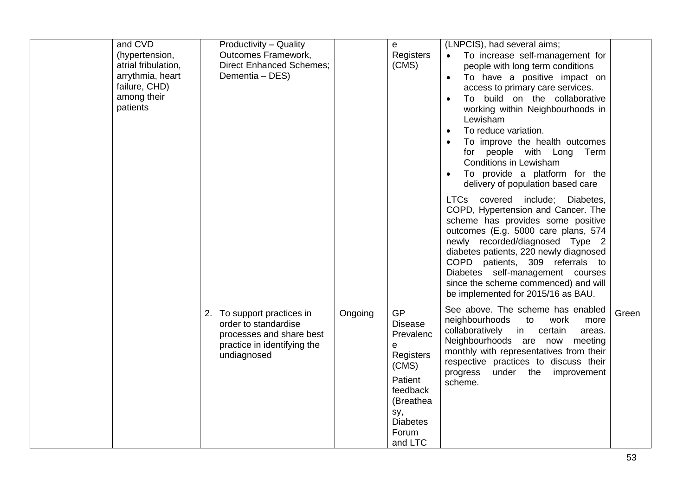| and CVD<br>(hypertension,<br>atrial fribulation,<br>arrythmia, heart<br>failure, CHD)<br>among their<br>patients | Productivity - Quality<br>Outcomes Framework,<br><b>Direct Enhanced Schemes:</b><br>Dementia - DES)                          |         | e<br>Registers<br>(CMS)                                                                                                                               | (LNPCIS), had several aims;<br>To increase self-management for<br>people with long term conditions<br>To have a positive impact on<br>access to primary care services.<br>To build on the collaborative<br>working within Neighbourhoods in<br>Lewisham<br>To reduce variation.<br>To improve the health outcomes<br>for people with Long Term<br>Conditions in Lewisham<br>To provide a platform for the<br>delivery of population based care<br>LTCs covered include; Diabetes,<br>COPD, Hypertension and Cancer. The<br>scheme has provides some positive<br>outcomes (E.g. 5000 care plans, 574<br>newly recorded/diagnosed Type 2 |       |
|------------------------------------------------------------------------------------------------------------------|------------------------------------------------------------------------------------------------------------------------------|---------|-------------------------------------------------------------------------------------------------------------------------------------------------------|----------------------------------------------------------------------------------------------------------------------------------------------------------------------------------------------------------------------------------------------------------------------------------------------------------------------------------------------------------------------------------------------------------------------------------------------------------------------------------------------------------------------------------------------------------------------------------------------------------------------------------------|-------|
|                                                                                                                  | 2. To support practices in<br>order to standardise<br>processes and share best<br>practice in identifying the<br>undiagnosed | Ongoing | <b>GP</b><br><b>Disease</b><br>Prevalenc<br>e<br>Registers<br>(CMS)<br>Patient<br>feedback<br>(Breathea<br>sy,<br><b>Diabetes</b><br>Forum<br>and LTC | diabetes patients, 220 newly diagnosed<br>COPD patients, 309 referrals to<br>Diabetes self-management courses<br>since the scheme commenced) and will<br>be implemented for 2015/16 as BAU.<br>See above. The scheme has enabled<br>neighbourhoods<br>to<br>work<br>more<br>collaboratively<br>in<br>certain<br>areas.<br>Neighbourhoods are now meeting<br>monthly with representatives from their<br>respective practices to discuss their<br>under the improvement<br>progress<br>scheme.                                                                                                                                           | Green |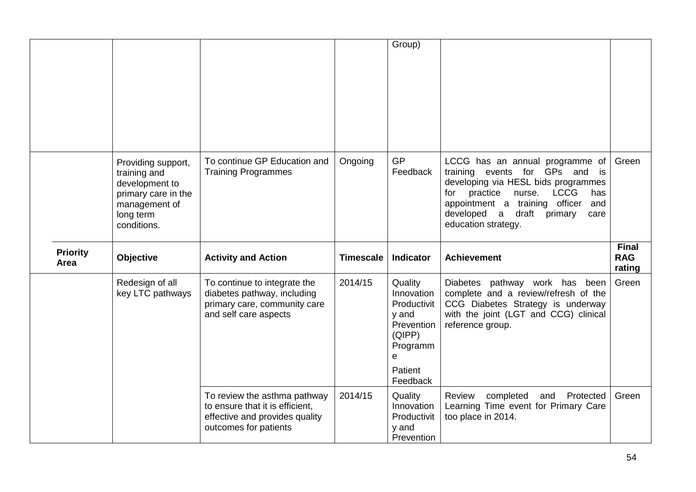|                         |                                                                                                                          |                                                                                                                      |                  | Group)                                                                                                        |                                                                                                                                                                                                                                                                        |                                      |
|-------------------------|--------------------------------------------------------------------------------------------------------------------------|----------------------------------------------------------------------------------------------------------------------|------------------|---------------------------------------------------------------------------------------------------------------|------------------------------------------------------------------------------------------------------------------------------------------------------------------------------------------------------------------------------------------------------------------------|--------------------------------------|
|                         | Providing support,<br>training and<br>development to<br>primary care in the<br>management of<br>long term<br>conditions. | To continue GP Education and<br><b>Training Programmes</b>                                                           | Ongoing          | <b>GP</b><br>Feedback                                                                                         | LCCG has an annual programme of<br>training events for GPs and is<br>developing via HESL bids programmes<br>practice<br><b>LCCG</b><br>for<br>nurse.<br>has<br>appointment a training officer<br>and<br>developed a<br>draft<br>primary<br>care<br>education strategy. | Green                                |
|                         |                                                                                                                          |                                                                                                                      |                  |                                                                                                               |                                                                                                                                                                                                                                                                        |                                      |
| <b>Priority</b><br>Area | Objective                                                                                                                | <b>Activity and Action</b>                                                                                           | <b>Timescale</b> | <b>Indicator</b>                                                                                              | <b>Achievement</b>                                                                                                                                                                                                                                                     | <b>Final</b><br><b>RAG</b><br>rating |
|                         | Redesign of all<br>key LTC pathways                                                                                      | To continue to integrate the<br>diabetes pathway, including<br>primary care, community care<br>and self care aspects | 2014/15          | Quality<br>Innovation<br>Productivit<br>y and<br>Prevention<br>(QIPP)<br>Programm<br>e<br>Patient<br>Feedback | Diabetes pathway work has been<br>complete and a review/refresh of the<br>CCG Diabetes Strategy is underway<br>with the joint (LGT and CCG) clinical<br>reference group.                                                                                               | Green                                |